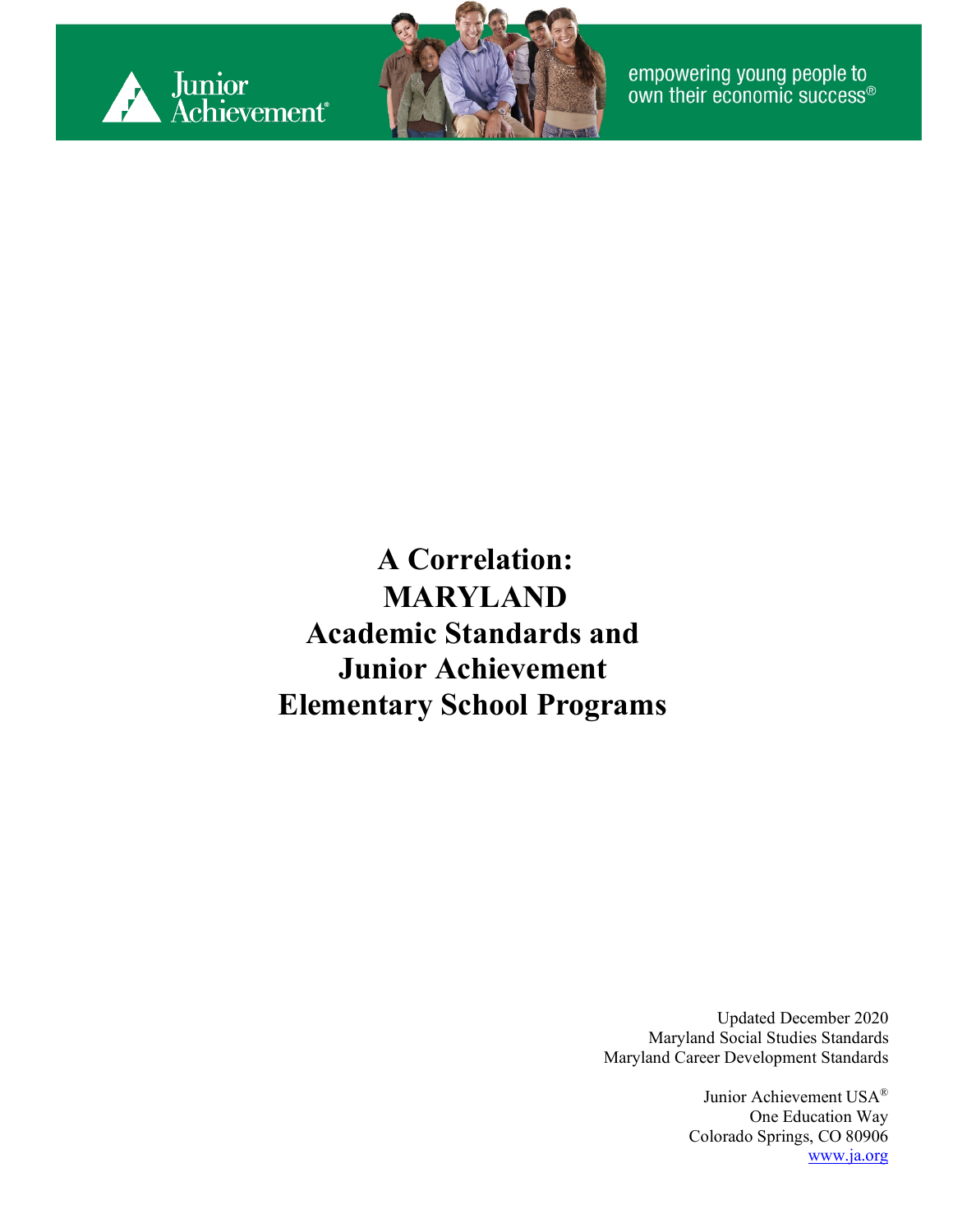



empowering young people to<br>own their economic success®

**A Correlation: MARYLAND Academic Standards and Junior Achievement Elementary School Programs**

> Updated December 2020 Maryland Social Studies Standards Maryland Career Development Standards

> > Junior Achievement USA® One Education Way Colorado Springs, CO 80906 [www.ja.org](http://www.ja.org/)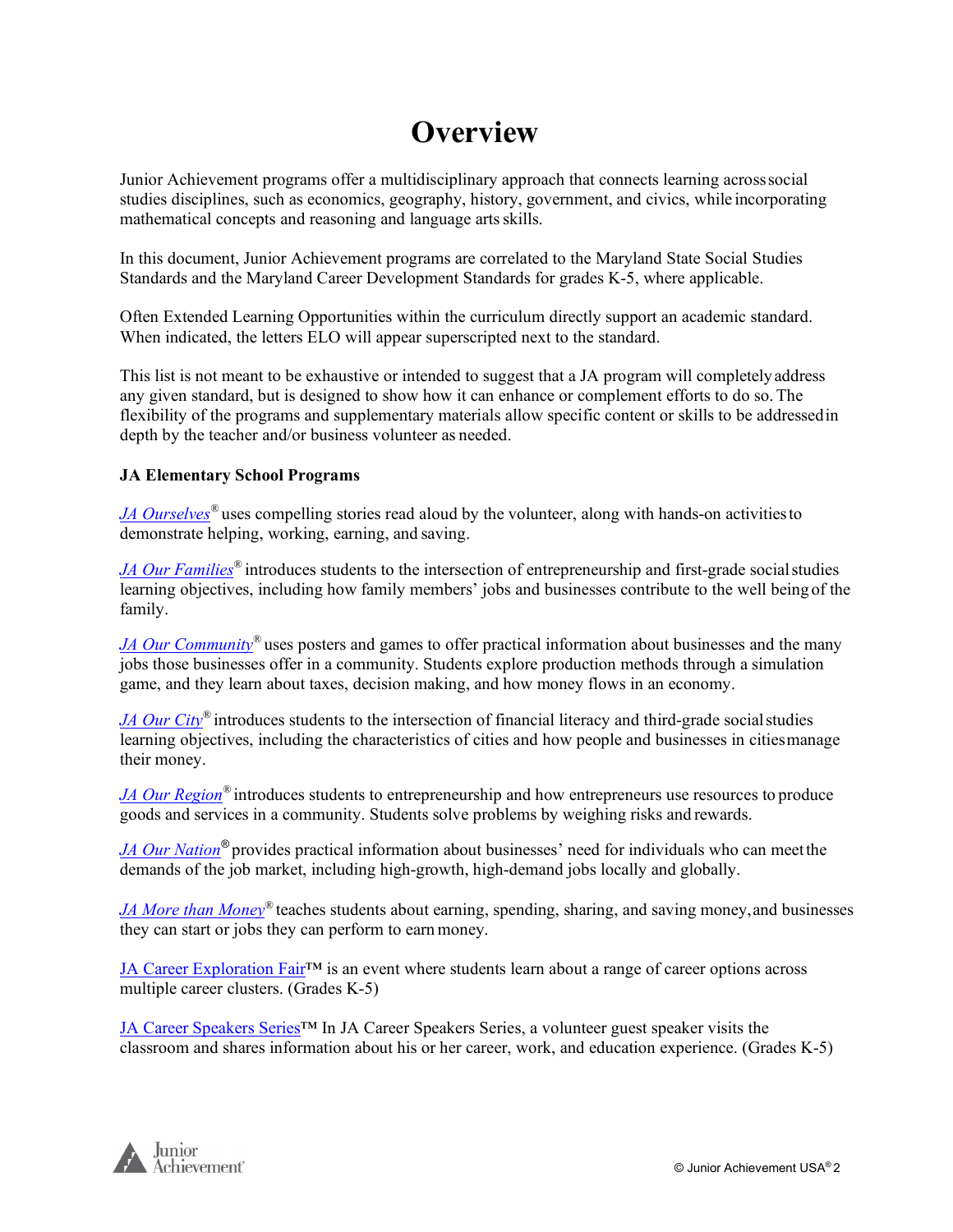#### **Overview**

Junior Achievement programs offer a multidisciplinary approach that connects learning acrosssocial studies disciplines, such as economics, geography, history, government, and civics, while incorporating mathematical concepts and reasoning and language artsskills.

In this document, Junior Achievement programs are correlated to the Maryland State Social Studies Standards and the Maryland Career Development Standards for grades K-5, where applicable.

Often Extended Learning Opportunities within the curriculum directly support an academic standard. When indicated, the letters ELO will appear superscripted next to the standard.

This list is not meant to be exhaustive or intended to suggest that a JA program will completelyaddress any given standard, but is designed to show how it can enhance or complement efforts to do so.The flexibility of the programs and supplementary materials allow specific content or skills to be addressedin depth by the teacher and/or business volunteer as needed.

#### **JA Elementary School Programs**

*JA Ourselves*<sup>®</sup> uses compelling stories read aloud by the volunteer, along with hands-on activities to demonstrate helping, working, earning, and saving.

*JA Our Families<sup>®</sup>* introduces students to the intersection of entrepreneurship and first-grade social studies learning objectives, including how family members' jobs and businesses contribute to the well being of the family.

*JA Our Community*<sup>®</sup> uses posters and games to offer practical information about businesses and the many jobs those businesses offer in a community. Students explore production methods through a simulation game, and they learn about taxes, decision making, and how money flows in an economy.

*JA Our City®* introduces students to the intersection of financial literacy and third-grade social studies learning objectives, including the characteristics of cities and how people and businesses in citiesmanage their money.

*[JA Our Region](#page-10-0)®* introduces students to entrepreneurship and how entrepreneurs use resources to produce goods and services in a community. Students solve problems by weighing risks and rewards.

*JA Our Nation®* provides practical information about businesses' need for individuals who can meetthe demands of the job market, including high-growth, high-demand jobs locally and globally.

*JA More than Money*<sup>®</sup> teaches students about earning, spending, sharing, and saving money, and businesses they can start or jobs they can perform to earnmoney.

JA Career Exploration Fair™ is an event where students learn about a range of career options across multiple career clusters. (Grades K-5)

JA Career Speakers Series™ In JA Career Speakers Series, a volunteer guest speaker visits the classroom and shares information about his or her career, work, and education experience. (Grades K-5)

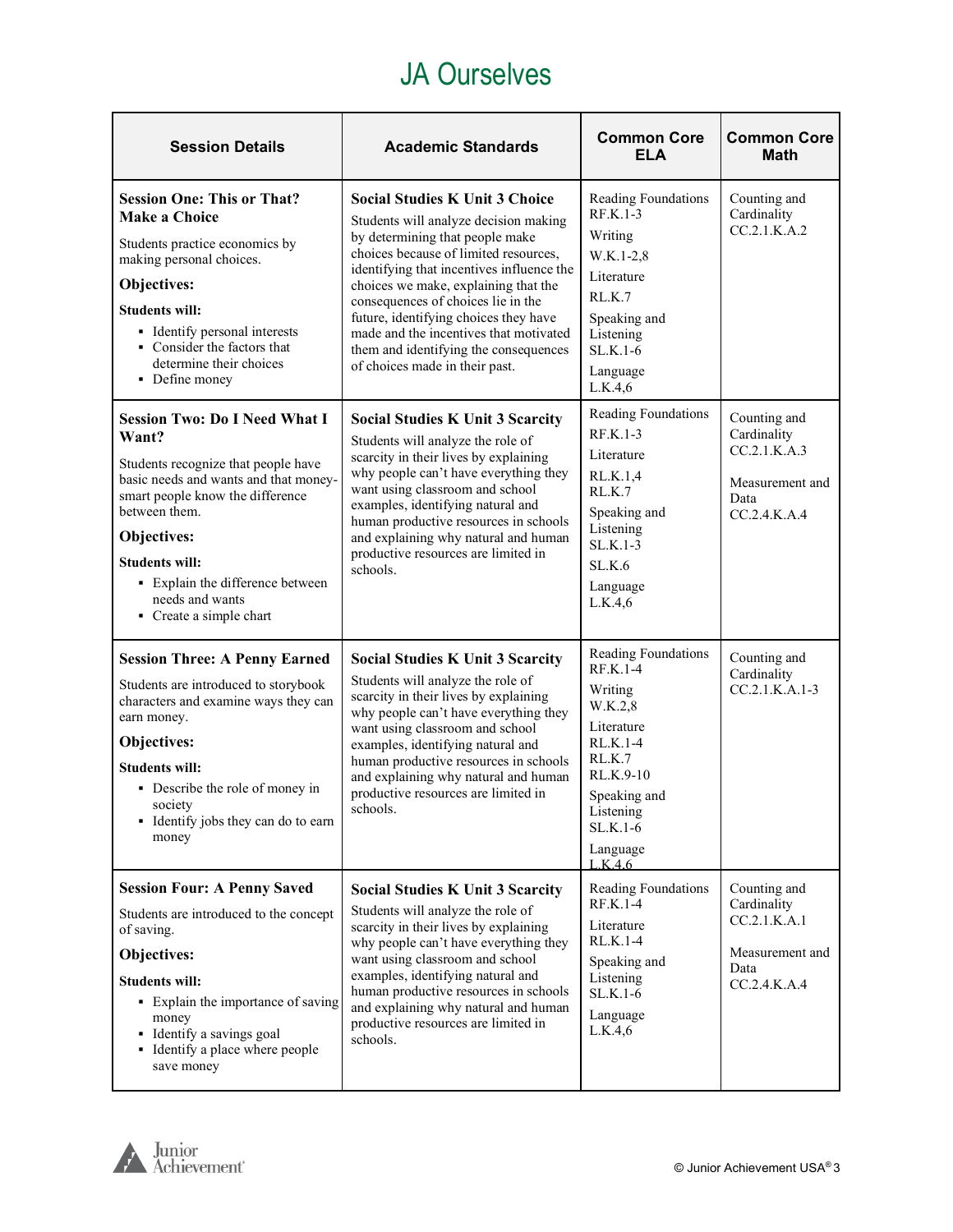#### JA Ourselves

<span id="page-2-0"></span>

| <b>Session Details</b>                                                                                                                                                                                                                                                                                       | <b>Academic Standards</b>                                                                                                                                                                                                                                                                                                                                                                                                                           | <b>Common Core</b><br><b>ELA</b>                                                                                                                                       | <b>Common Core</b><br><b>Math</b>                                                        |
|--------------------------------------------------------------------------------------------------------------------------------------------------------------------------------------------------------------------------------------------------------------------------------------------------------------|-----------------------------------------------------------------------------------------------------------------------------------------------------------------------------------------------------------------------------------------------------------------------------------------------------------------------------------------------------------------------------------------------------------------------------------------------------|------------------------------------------------------------------------------------------------------------------------------------------------------------------------|------------------------------------------------------------------------------------------|
| <b>Session One: This or That?</b><br><b>Make a Choice</b><br>Students practice economics by<br>making personal choices.<br>Objectives:<br><b>Students will:</b><br>• Identify personal interests<br>• Consider the factors that<br>determine their choices<br>• Define money                                 | <b>Social Studies K Unit 3 Choice</b><br>Students will analyze decision making<br>by determining that people make<br>choices because of limited resources,<br>identifying that incentives influence the<br>choices we make, explaining that the<br>consequences of choices lie in the<br>future, identifying choices they have<br>made and the incentives that motivated<br>them and identifying the consequences<br>of choices made in their past. | Reading Foundations<br>$RF.K.1-3$<br>Writing<br>W.K.1-2,8<br>Literature<br>RL.K.7<br>Speaking and<br>Listening<br>SL.K.1-6<br>Language<br>L.K.4.6                      | Counting and<br>Cardinality<br>CC.2.1.K.A.2                                              |
| <b>Session Two: Do I Need What I</b><br>Want?<br>Students recognize that people have<br>basic needs and wants and that money-<br>smart people know the difference<br>between them.<br>Objectives:<br><b>Students will:</b><br>• Explain the difference between<br>needs and wants<br>• Create a simple chart | <b>Social Studies K Unit 3 Scarcity</b><br>Students will analyze the role of<br>scarcity in their lives by explaining<br>why people can't have everything they<br>want using classroom and school<br>examples, identifying natural and<br>human productive resources in schools<br>and explaining why natural and human<br>productive resources are limited in<br>schools.                                                                          | Reading Foundations<br>RF.K.1-3<br>Literature<br>RL.K.1,4<br>RL.K.7<br>Speaking and<br>Listening<br>$SL.K.1-3$<br>SL.K.6<br>Language<br>L.K.4,6                        | Counting and<br>Cardinality<br>CC.2.1.K.A.3<br>Measurement and<br>Data<br>CC.2.4. K. A.4 |
| <b>Session Three: A Penny Earned</b><br>Students are introduced to storybook<br>characters and examine ways they can<br>earn money.<br>Objectives:<br><b>Students will:</b><br>• Describe the role of money in<br>society<br>• Identify jobs they can do to earn<br>money                                    | <b>Social Studies K Unit 3 Scarcity</b><br>Students will analyze the role of<br>scarcity in their lives by explaining<br>why people can't have everything they<br>want using classroom and school<br>examples, identifying natural and<br>human productive resources in schools<br>and explaining why natural and human<br>productive resources are limited in<br>schools.                                                                          | Reading Foundations<br>RF.K.1-4<br>Writing<br>W.K.2,8<br>Literature<br>RL.K.1-4<br>RL.K.7<br>RL.K.9-10<br>Speaking and<br>Listening<br>SL.K.1-6<br>Language<br>L.K.4.6 | Counting and<br>Cardinality<br>CC.2.1.K.A.1-3                                            |
| <b>Session Four: A Penny Saved</b><br>Students are introduced to the concept<br>of saving.<br>Objectives:<br><b>Students will:</b><br>• Explain the importance of saving<br>money<br>• Identify a savings goal<br>• Identify a place where people<br>save money                                              | <b>Social Studies K Unit 3 Scarcity</b><br>Students will analyze the role of<br>scarcity in their lives by explaining<br>why people can't have everything they<br>want using classroom and school<br>examples, identifying natural and<br>human productive resources in schools<br>and explaining why natural and human<br>productive resources are limited in<br>schools.                                                                          | Reading Foundations<br>RF.K.1-4<br>Literature<br>RL.K.1-4<br>Speaking and<br>Listening<br>$SL.K.1-6$<br>Language<br>L.K.4,6                                            | Counting and<br>Cardinality<br>CC.2.1.K.A.1<br>Measurement and<br>Data<br>CC.2.4.K.A.4   |

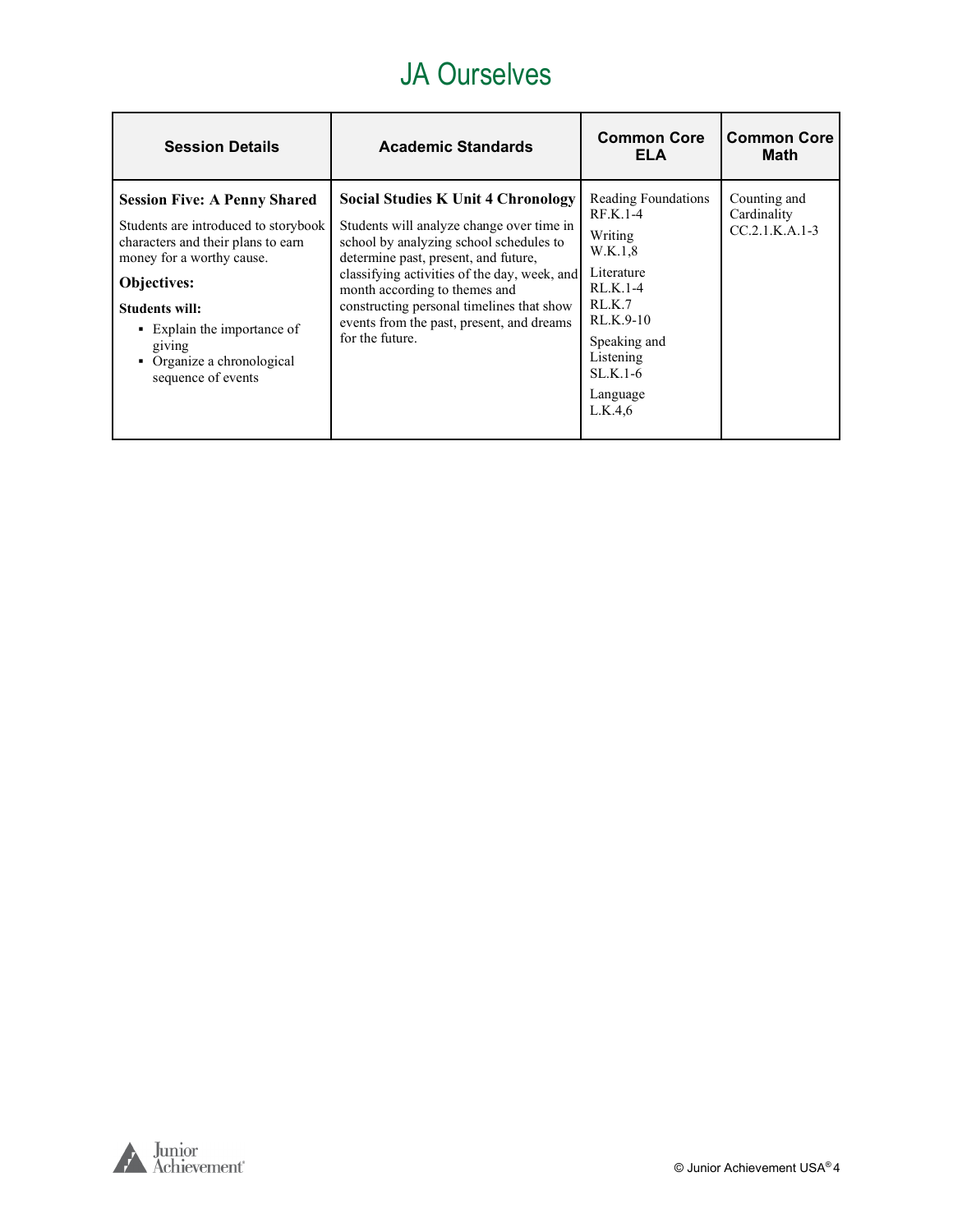#### JA Ourselves

| <b>Session Details</b>                                                                                                                                                                                                                                                                     | <b>Academic Standards</b>                                                                                                                                                                                                                                                                                                                                               | <b>Common Core</b><br>ELA                                                                                                                                                   | <b>Common Core</b><br>Math                      |
|--------------------------------------------------------------------------------------------------------------------------------------------------------------------------------------------------------------------------------------------------------------------------------------------|-------------------------------------------------------------------------------------------------------------------------------------------------------------------------------------------------------------------------------------------------------------------------------------------------------------------------------------------------------------------------|-----------------------------------------------------------------------------------------------------------------------------------------------------------------------------|-------------------------------------------------|
| <b>Session Five: A Penny Shared</b><br>Students are introduced to storybook<br>characters and their plans to earn<br>money for a worthy cause.<br><b>Objectives:</b><br><b>Students will:</b><br>• Explain the importance of<br>giving<br>• Organize a chronological<br>sequence of events | <b>Social Studies K Unit 4 Chronology</b><br>Students will analyze change over time in<br>school by analyzing school schedules to<br>determine past, present, and future,<br>classifying activities of the day, week, and<br>month according to themes and<br>constructing personal timelines that show<br>events from the past, present, and dreams<br>for the future. | Reading Foundations<br>$RF.K.1-4$<br>Writing<br>W.K.1,8<br>Literature<br>$RL.K.1-4$<br>RL.K.7<br>RL.K.9-10<br>Speaking and<br>Listening<br>$SLK.1-6$<br>Language<br>L.K.4,6 | Counting and<br>Cardinality<br>$CC.2.1.K.A.1-3$ |

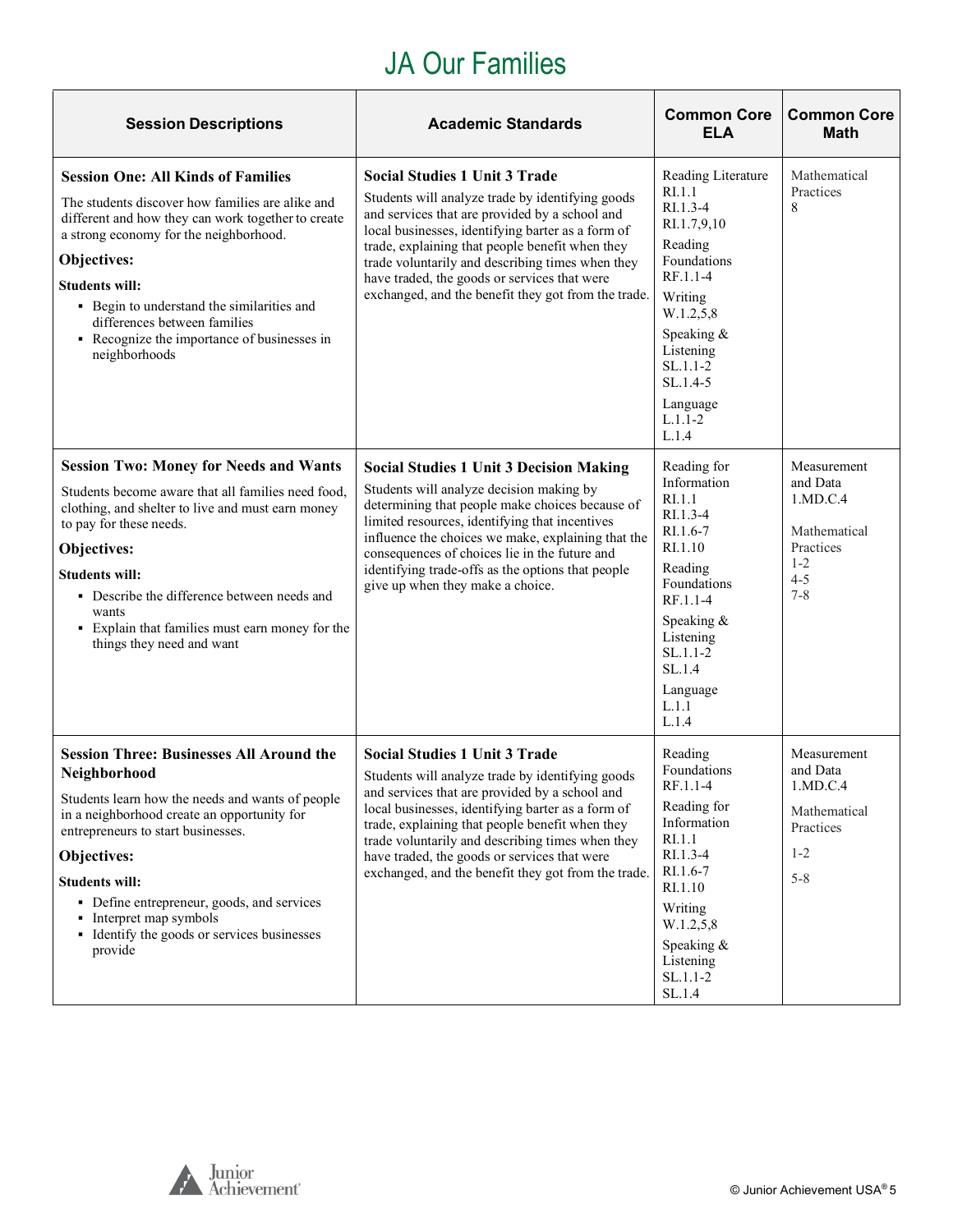#### JA Our Families

<span id="page-4-0"></span>

| <b>Session Descriptions</b>                                                                                                                                                                                                                                                                                                                                                         | <b>Academic Standards</b>                                                                                                                                                                                                                                                                                                                                                                                     | <b>Common Core</b><br><b>ELA</b>                                                                                                                                                                                 | <b>Common Core</b><br><b>Math</b>                                                                 |
|-------------------------------------------------------------------------------------------------------------------------------------------------------------------------------------------------------------------------------------------------------------------------------------------------------------------------------------------------------------------------------------|---------------------------------------------------------------------------------------------------------------------------------------------------------------------------------------------------------------------------------------------------------------------------------------------------------------------------------------------------------------------------------------------------------------|------------------------------------------------------------------------------------------------------------------------------------------------------------------------------------------------------------------|---------------------------------------------------------------------------------------------------|
| <b>Session One: All Kinds of Families</b><br>The students discover how families are alike and<br>different and how they can work together to create<br>a strong economy for the neighborhood.<br>Objectives:<br><b>Students will:</b><br>• Begin to understand the similarities and<br>differences between families<br>• Recognize the importance of businesses in<br>neighborhoods | <b>Social Studies 1 Unit 3 Trade</b><br>Students will analyze trade by identifying goods<br>and services that are provided by a school and<br>local businesses, identifying barter as a form of<br>trade, explaining that people benefit when they<br>trade voluntarily and describing times when they<br>have traded, the goods or services that were<br>exchanged, and the benefit they got from the trade. | Reading Literature<br>RI.1.1<br>RI.1.3-4<br>RI.1.7,9,10<br>Reading<br>Foundations<br>RF.1.1-4<br>Writing<br>W.1.2,5,8<br>Speaking &<br>Listening<br>$SL.1.1-2$<br>$SL.1.4-5$<br>Language<br>$L.1.1 - 2$<br>L.1.4 | Mathematical<br>Practices<br>8                                                                    |
| <b>Session Two: Money for Needs and Wants</b><br>Students become aware that all families need food,<br>clothing, and shelter to live and must earn money<br>to pay for these needs.<br>Objectives:<br><b>Students will:</b><br>• Describe the difference between needs and<br>wants<br>• Explain that families must earn money for the<br>things they need and want                 | <b>Social Studies 1 Unit 3 Decision Making</b><br>Students will analyze decision making by<br>determining that people make choices because of<br>limited resources, identifying that incentives<br>influence the choices we make, explaining that the<br>consequences of choices lie in the future and<br>identifying trade-offs as the options that people<br>give up when they make a choice.               | Reading for<br>Information<br>RI.1.1<br>$R1.1.3-4$<br>$RI.1.6-7$<br>RI.1.10<br>Reading<br>Foundations<br>RF.1.1-4<br>Speaking &<br>Listening<br>$SL.1.1-2$<br>SL.1.4<br>Language<br>L.1.1<br>L.1.4               | Measurement<br>and Data<br>1.MD.C.4<br>Mathematical<br>Practices<br>$1 - 2$<br>$4 - 5$<br>$7 - 8$ |
| <b>Session Three: Businesses All Around the</b><br>Neighborhood<br>Students learn how the needs and wants of people<br>in a neighborhood create an opportunity for<br>entrepreneurs to start businesses.<br>Objectives:<br><b>Students will:</b><br>• Define entrepreneur, goods, and services<br>• Interpret map symbols<br>• Identify the goods or services businesses<br>provide | <b>Social Studies 1 Unit 3 Trade</b><br>Students will analyze trade by identifying goods<br>and services that are provided by a school and<br>local businesses, identifying barter as a form of<br>trade, explaining that people benefit when they<br>trade voluntarily and describing times when they<br>have traded, the goods or services that were<br>exchanged, and the benefit they got from the trade. | Reading<br>Foundations<br>$RF.1.1-4$<br>Reading for<br>Information<br>RI.1.1<br>RI.1.3-4<br>RI.1.6-7<br>RI.1.10<br>Writing<br>W.1.2,5,8<br>Speaking &<br>Listening<br>$SL.1.1-2$<br>SL.1.4                       | Measurement<br>and Data<br>1.MD.C.4<br>Mathematical<br>Practices<br>$1 - 2$<br>$5 - 8$            |

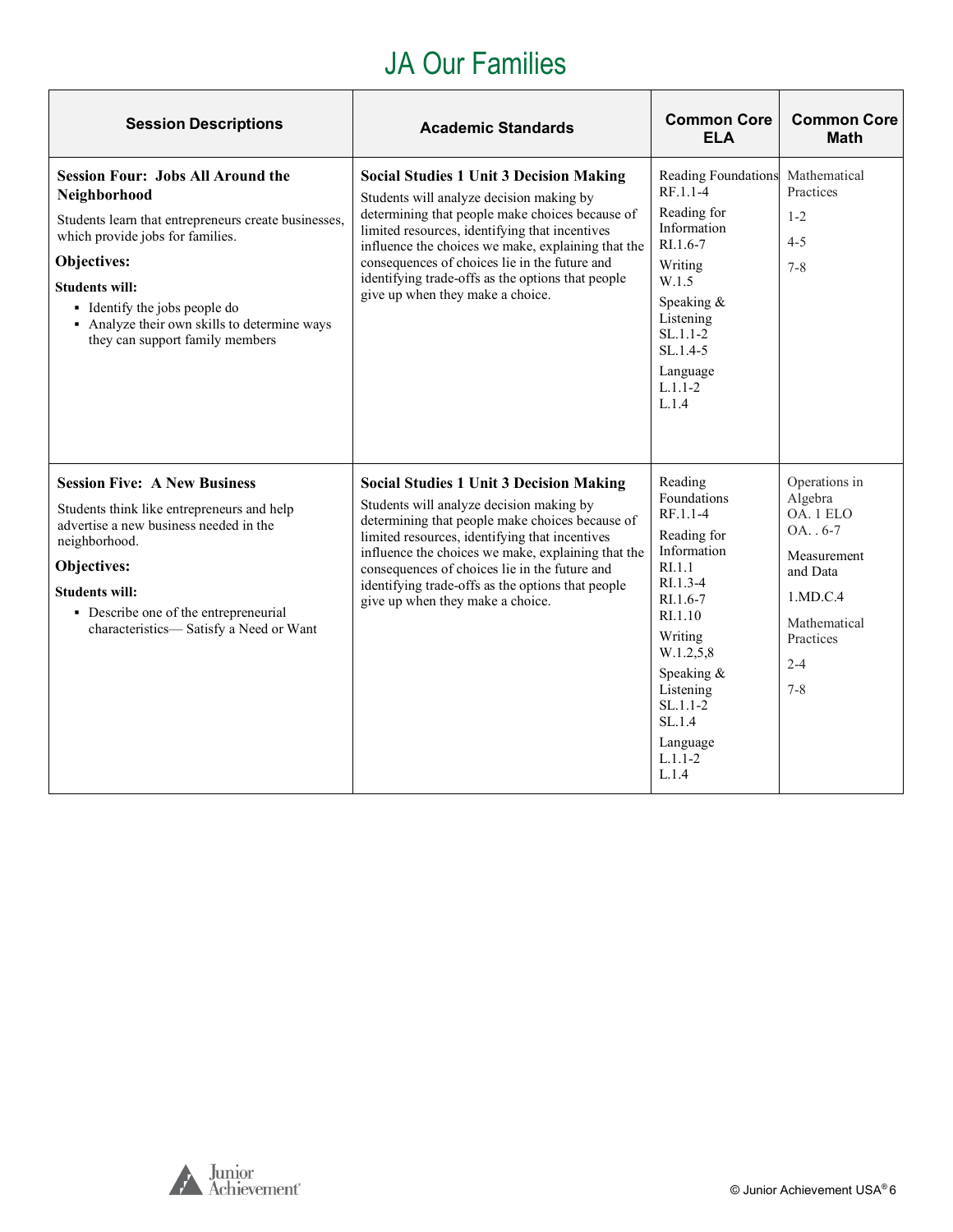## JA Our Families

| <b>Session Descriptions</b>                                                                                                                                                                                                                                                                                      | <b>Academic Standards</b>                                                                                                                                                                                                                                                                                                                                                                       | <b>Common Core</b><br><b>ELA</b>                                                                                                                                                                                                                       | <b>Common Core</b><br><b>Math</b>                                                                                                              |
|------------------------------------------------------------------------------------------------------------------------------------------------------------------------------------------------------------------------------------------------------------------------------------------------------------------|-------------------------------------------------------------------------------------------------------------------------------------------------------------------------------------------------------------------------------------------------------------------------------------------------------------------------------------------------------------------------------------------------|--------------------------------------------------------------------------------------------------------------------------------------------------------------------------------------------------------------------------------------------------------|------------------------------------------------------------------------------------------------------------------------------------------------|
| <b>Session Four: Jobs All Around the</b><br>Neighborhood<br>Students learn that entrepreneurs create businesses,<br>which provide jobs for families.<br>Objectives:<br><b>Students will:</b><br>• Identify the jobs people do<br>• Analyze their own skills to determine ways<br>they can support family members | <b>Social Studies 1 Unit 3 Decision Making</b><br>Students will analyze decision making by<br>determining that people make choices because of<br>limited resources, identifying that incentives<br>influence the choices we make, explaining that the<br>consequences of choices lie in the future and<br>identifying trade-offs as the options that people<br>give up when they make a choice. | Reading Foundations Mathematical<br>RF.1.1-4<br>Reading for<br>Information<br>RI.1.6-7<br>Writing<br>W.1.5<br>Speaking &<br>Listening<br>$SL.1.1-2$<br>$SL.1.4-5$<br>Language<br>$L.1.1 - 2$<br>L.1.4                                                  | Practices<br>$1 - 2$<br>$4 - 5$<br>$7 - 8$                                                                                                     |
| <b>Session Five: A New Business</b><br>Students think like entrepreneurs and help<br>advertise a new business needed in the<br>neighborhood.<br><b>Objectives:</b><br><b>Students will:</b><br>• Describe one of the entrepreneurial<br>characteristics-Satisfy a Need or Want                                   | <b>Social Studies 1 Unit 3 Decision Making</b><br>Students will analyze decision making by<br>determining that people make choices because of<br>limited resources, identifying that incentives<br>influence the choices we make, explaining that the<br>consequences of choices lie in the future and<br>identifying trade-offs as the options that people<br>give up when they make a choice. | Reading<br>Foundations<br>RF.1.1-4<br>Reading for<br>Information<br>R <sub>L</sub> 1.1<br>$RI.1.3-4$<br>RI.1.6-7<br>R <sub>L</sub> 1.10<br>Writing<br>W.1.2,5,8<br>Speaking &<br>Listening<br>$SL.1.1-2$<br>SL.1.4<br>Language<br>$L.1.1 - 2$<br>L.1.4 | Operations in<br>Algebra<br>OA. 1 ELO<br>$OA. . 6-7$<br>Measurement<br>and Data<br>1.MD.C.4<br>Mathematical<br>Practices<br>$2 - 4$<br>$7 - 8$ |

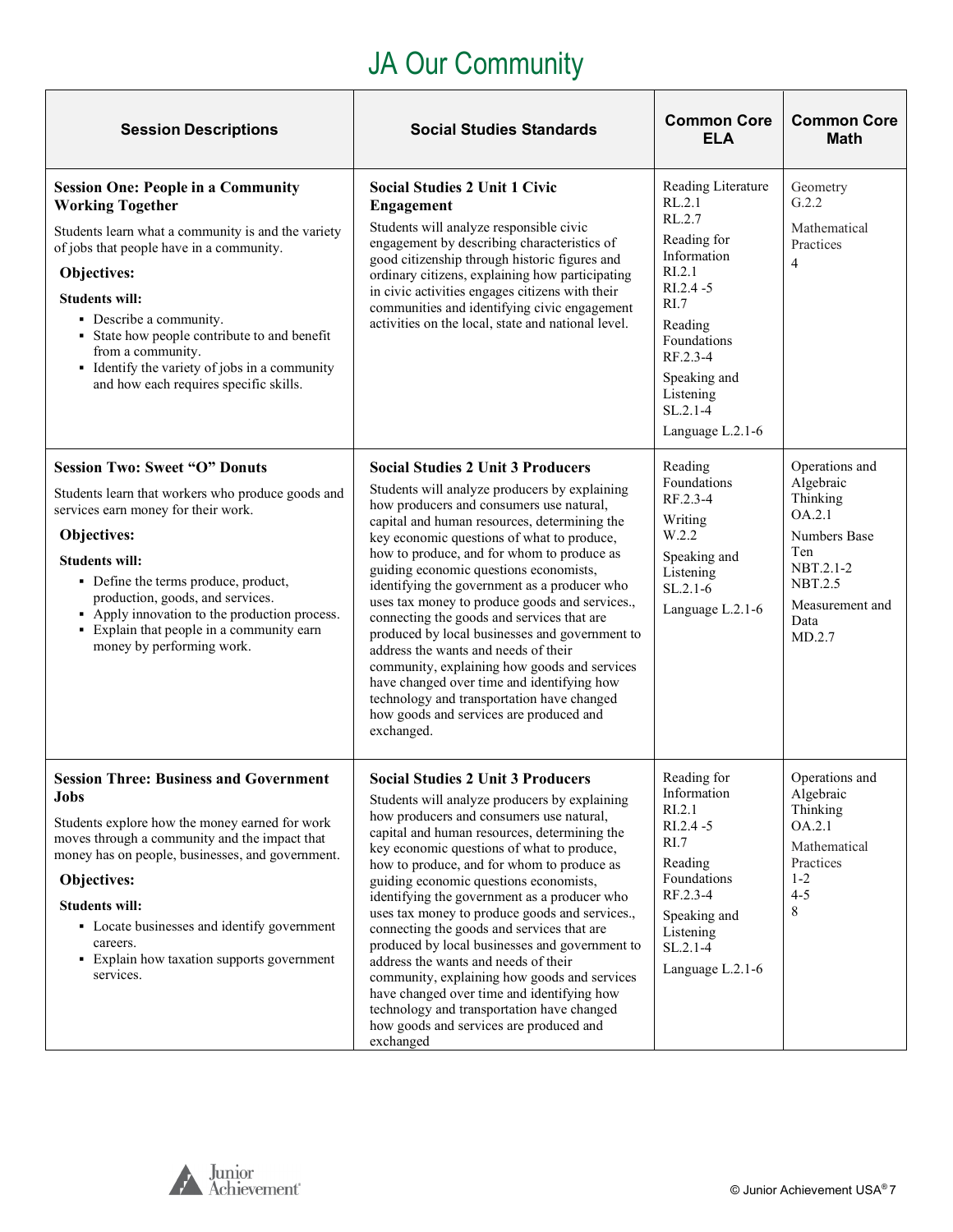# JA Our Community

<span id="page-6-0"></span>

| <b>Session Descriptions</b>                                                                                                                                                                                                                                                                                                                                                                               | <b>Social Studies Standards</b>                                                                                                                                                                                                                                                                                                                                                                                                                                                                                                                                                                                                                                                                                                                                            | <b>Common Core</b><br><b>ELA</b>                                                                                                                                                                                        | <b>Common Core</b><br><b>Math</b>                                                                                                                   |
|-----------------------------------------------------------------------------------------------------------------------------------------------------------------------------------------------------------------------------------------------------------------------------------------------------------------------------------------------------------------------------------------------------------|----------------------------------------------------------------------------------------------------------------------------------------------------------------------------------------------------------------------------------------------------------------------------------------------------------------------------------------------------------------------------------------------------------------------------------------------------------------------------------------------------------------------------------------------------------------------------------------------------------------------------------------------------------------------------------------------------------------------------------------------------------------------------|-------------------------------------------------------------------------------------------------------------------------------------------------------------------------------------------------------------------------|-----------------------------------------------------------------------------------------------------------------------------------------------------|
| <b>Session One: People in a Community</b><br><b>Working Together</b><br>Students learn what a community is and the variety<br>of jobs that people have in a community.<br>Objectives:<br><b>Students will:</b><br>• Describe a community.<br>• State how people contribute to and benefit<br>from a community.<br>• Identify the variety of jobs in a community<br>and how each requires specific skills. | <b>Social Studies 2 Unit 1 Civic</b><br>Engagement<br>Students will analyze responsible civic<br>engagement by describing characteristics of<br>good citizenship through historic figures and<br>ordinary citizens, explaining how participating<br>in civic activities engages citizens with their<br>communities and identifying civic engagement<br>activities on the local, state and national level.                                                                                                                                                                                                                                                                                                                                                                  | Reading Literature<br>RL.2.1<br>RL.2.7<br>Reading for<br>Information<br>RI.2.1<br>$RI.2.4 - 5$<br>R <sub>L</sub><br>Reading<br>Foundations<br>RF.2.3-4<br>Speaking and<br>Listening<br>$SL.2.1 - 4$<br>Language L.2.1-6 | Geometry<br>G.2.2<br>Mathematical<br>Practices<br>$\overline{4}$                                                                                    |
| <b>Session Two: Sweet "O" Donuts</b><br>Students learn that workers who produce goods and<br>services earn money for their work.<br>Objectives:<br><b>Students will:</b><br>• Define the terms produce, product,<br>production, goods, and services.<br>• Apply innovation to the production process.<br>· Explain that people in a community earn<br>money by performing work.                           | <b>Social Studies 2 Unit 3 Producers</b><br>Students will analyze producers by explaining<br>how producers and consumers use natural,<br>capital and human resources, determining the<br>key economic questions of what to produce,<br>how to produce, and for whom to produce as<br>guiding economic questions economists,<br>identifying the government as a producer who<br>uses tax money to produce goods and services.,<br>connecting the goods and services that are<br>produced by local businesses and government to<br>address the wants and needs of their<br>community, explaining how goods and services<br>have changed over time and identifying how<br>technology and transportation have changed<br>how goods and services are produced and<br>exchanged. | Reading<br>Foundations<br>RF.2.3-4<br>Writing<br>W.2.2<br>Speaking and<br>Listening<br>$SL.2.1-6$<br>Language L.2.1-6                                                                                                   | Operations and<br>Algebraic<br>Thinking<br>OA.2.1<br><b>Numbers Base</b><br>Ten<br>NBT.2.1-2<br><b>NBT.2.5</b><br>Measurement and<br>Data<br>MD.2.7 |
| <b>Session Three: Business and Government</b><br><b>Jobs</b><br>Students explore how the money earned for work<br>moves through a community and the impact that<br>money has on people, businesses, and government.<br>Objectives:<br><b>Students will:</b><br>• Locate businesses and identify government<br>careers.<br>• Explain how taxation supports government<br>services.                         | <b>Social Studies 2 Unit 3 Producers</b><br>Students will analyze producers by explaining<br>how producers and consumers use natural,<br>capital and human resources, determining the<br>key economic questions of what to produce,<br>how to produce, and for whom to produce as<br>guiding economic questions economists,<br>identifying the government as a producer who<br>uses tax money to produce goods and services.,<br>connecting the goods and services that are<br>produced by local businesses and government to<br>address the wants and needs of their<br>community, explaining how goods and services<br>have changed over time and identifying how<br>technology and transportation have changed<br>how goods and services are produced and<br>exchanged  | Reading for<br>Information<br>RI.2.1<br>RI.2.4 -5<br>RI.7<br>Reading<br>Foundations<br>RF.2.3-4<br>Speaking and<br>Listening<br>$SL.2.1 - 4$<br>Language L.2.1-6                                                        | Operations and<br>Algebraic<br>Thinking<br>OA.2.1<br>Mathematical<br>Practices<br>$1 - 2$<br>$4 - 5$<br>8                                           |

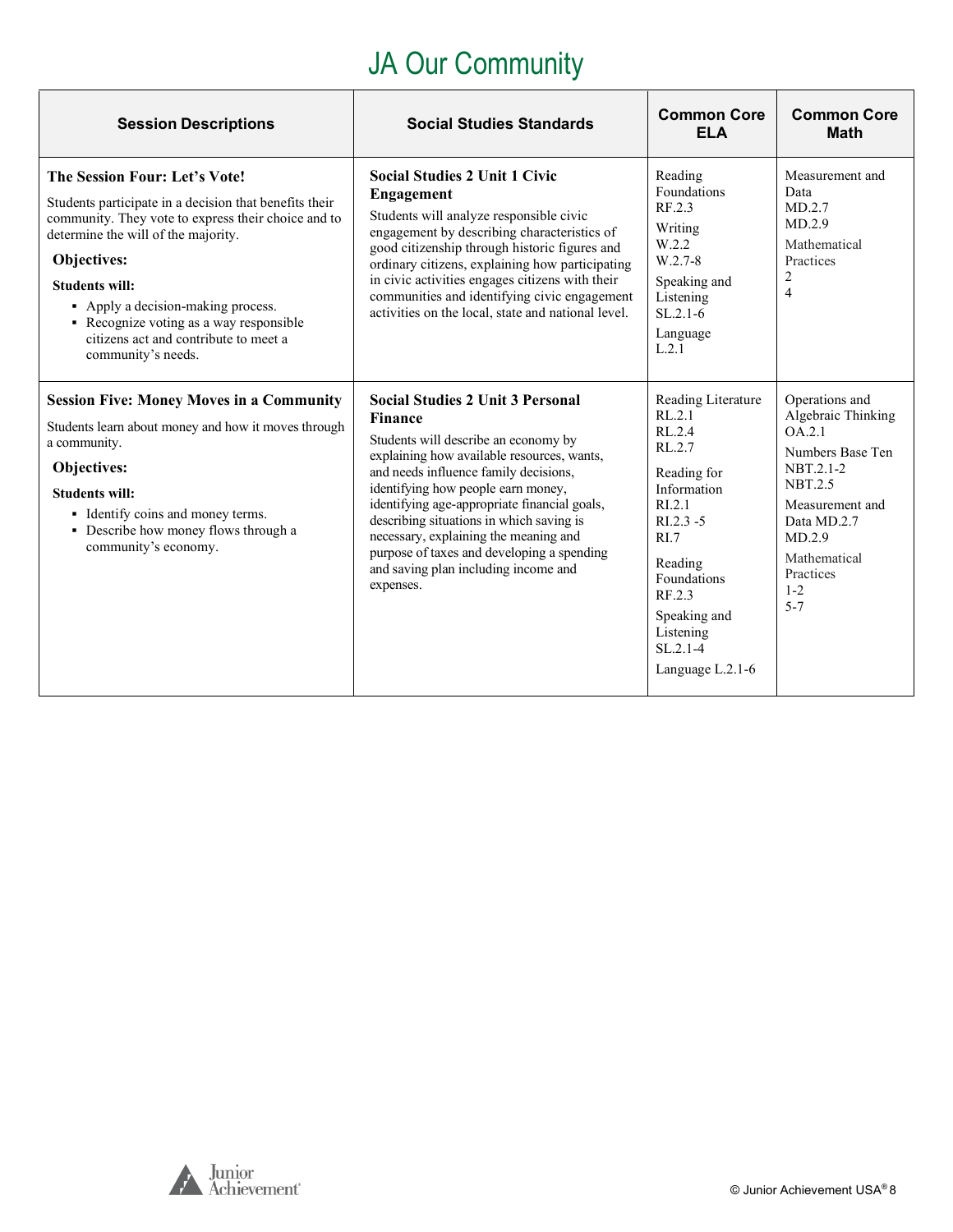# JA Our Community

| <b>Session Descriptions</b>                                                                                                                                                                                                                                                                                                                                                   | <b>Social Studies Standards</b>                                                                                                                                                                                                                                                                                                                                                                                                                                        | <b>Common Core</b><br><b>ELA</b>                                                                                                                                                                                                | <b>Common Core</b><br><b>Math</b>                                                                                                                                                                |
|-------------------------------------------------------------------------------------------------------------------------------------------------------------------------------------------------------------------------------------------------------------------------------------------------------------------------------------------------------------------------------|------------------------------------------------------------------------------------------------------------------------------------------------------------------------------------------------------------------------------------------------------------------------------------------------------------------------------------------------------------------------------------------------------------------------------------------------------------------------|---------------------------------------------------------------------------------------------------------------------------------------------------------------------------------------------------------------------------------|--------------------------------------------------------------------------------------------------------------------------------------------------------------------------------------------------|
| The Session Four: Let's Vote!<br>Students participate in a decision that benefits their<br>community. They vote to express their choice and to<br>determine the will of the majority.<br>Objectives:<br><b>Students will:</b><br>• Apply a decision-making process.<br>• Recognize voting as a way responsible<br>citizens act and contribute to meet a<br>community's needs. | <b>Social Studies 2 Unit 1 Civic</b><br><b>Engagement</b><br>Students will analyze responsible civic<br>engagement by describing characteristics of<br>good citizenship through historic figures and<br>ordinary citizens, explaining how participating<br>in civic activities engages citizens with their<br>communities and identifying civic engagement<br>activities on the local, state and national level.                                                       | Reading<br>Foundations<br>RF.2.3<br>Writing<br>W.2.2<br>W.2.7-8<br>Speaking and<br>Listening<br>$SL.2.1-6$<br>Language<br>L.2.1                                                                                                 | Measurement and<br>Data<br>MD.2.7<br>MD.2.9<br>Mathematical<br>Practices<br>$\overline{2}$<br>$\overline{4}$                                                                                     |
| <b>Session Five: Money Moves in a Community</b><br>Students learn about money and how it moves through<br>a community.<br>Objectives:<br><b>Students will:</b><br>• Identify coins and money terms.<br>• Describe how money flows through a<br>community's economy.                                                                                                           | <b>Social Studies 2 Unit 3 Personal</b><br><b>Finance</b><br>Students will describe an economy by<br>explaining how available resources, wants,<br>and needs influence family decisions,<br>identifying how people earn money,<br>identifying age-appropriate financial goals,<br>describing situations in which saving is<br>necessary, explaining the meaning and<br>purpose of taxes and developing a spending<br>and saving plan including income and<br>expenses. | Reading Literature<br>RL.2.1<br>RL.2.4<br>RL.2.7<br>Reading for<br>Information<br>R1.2.1<br>$R1.2.3 - 5$<br>R <sub>L</sub> 7<br>Reading<br>Foundations<br>RF.2.3<br>Speaking and<br>Listening<br>$SL.2.1-4$<br>Language L.2.1-6 | Operations and<br>Algebraic Thinking<br>OA.2.1<br>Numbers Base Ten<br>NBT.2.1-2<br><b>NBT.2.5</b><br>Measurement and<br>Data MD.2.7<br>MD.2.9<br>Mathematical<br>Practices<br>$1 - 2$<br>$5 - 7$ |

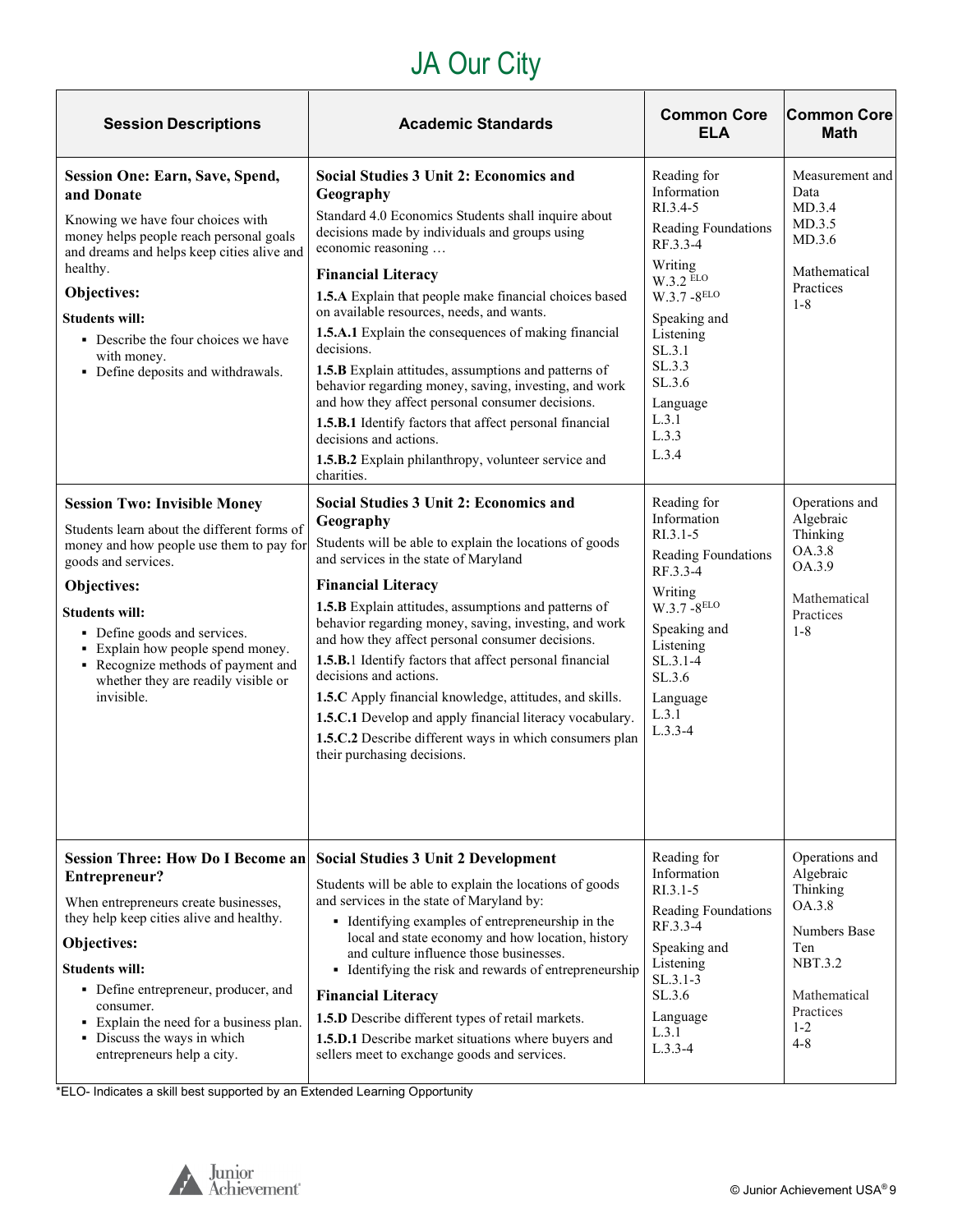# JA Our City

| <b>Session Descriptions</b>                                                                                                                                                                                                                                                                                                                                                                                                                                                                                                                                                                                                                                                                         | <b>Academic Standards</b>                                                                                                                                                                                                                                                                                                                                                                                                                                                                                                                                                                                                                                                                                                                                                                                                                                                                                                                                                                                                                                                                                                                                                                                                                                                                                                                                                                             | <b>Common Core</b><br><b>ELA</b>                                                                                                                                                                                                                                                                                                                                                                                              | <b>Common Core</b><br><b>Math</b>                                                                                                                                                                    |
|-----------------------------------------------------------------------------------------------------------------------------------------------------------------------------------------------------------------------------------------------------------------------------------------------------------------------------------------------------------------------------------------------------------------------------------------------------------------------------------------------------------------------------------------------------------------------------------------------------------------------------------------------------------------------------------------------------|-------------------------------------------------------------------------------------------------------------------------------------------------------------------------------------------------------------------------------------------------------------------------------------------------------------------------------------------------------------------------------------------------------------------------------------------------------------------------------------------------------------------------------------------------------------------------------------------------------------------------------------------------------------------------------------------------------------------------------------------------------------------------------------------------------------------------------------------------------------------------------------------------------------------------------------------------------------------------------------------------------------------------------------------------------------------------------------------------------------------------------------------------------------------------------------------------------------------------------------------------------------------------------------------------------------------------------------------------------------------------------------------------------|-------------------------------------------------------------------------------------------------------------------------------------------------------------------------------------------------------------------------------------------------------------------------------------------------------------------------------------------------------------------------------------------------------------------------------|------------------------------------------------------------------------------------------------------------------------------------------------------------------------------------------------------|
| <b>Session One: Earn, Save, Spend,</b><br>and Donate<br>Knowing we have four choices with<br>money helps people reach personal goals<br>and dreams and helps keep cities alive and<br>healthy.<br>Objectives:<br><b>Students will:</b><br>• Describe the four choices we have<br>with money.<br>• Define deposits and withdrawals.<br><b>Session Two: Invisible Money</b><br>Students learn about the different forms of<br>money and how people use them to pay for<br>goods and services.<br>Objectives:<br><b>Students will:</b><br>• Define goods and services.<br>• Explain how people spend money.<br>• Recognize methods of payment and<br>whether they are readily visible or<br>invisible. | Social Studies 3 Unit 2: Economics and<br>Geography<br>Standard 4.0 Economics Students shall inquire about<br>decisions made by individuals and groups using<br>economic reasoning<br><b>Financial Literacy</b><br>1.5.A Explain that people make financial choices based<br>on available resources, needs, and wants.<br>1.5.A.1 Explain the consequences of making financial<br>decisions.<br>1.5.B Explain attitudes, assumptions and patterns of<br>behavior regarding money, saving, investing, and work<br>and how they affect personal consumer decisions.<br>1.5.B.1 Identify factors that affect personal financial<br>decisions and actions.<br>1.5.B.2 Explain philanthropy, volunteer service and<br>charities.<br><b>Social Studies 3 Unit 2: Economics and</b><br>Geography<br>Students will be able to explain the locations of goods<br>and services in the state of Maryland<br><b>Financial Literacy</b><br>1.5.B Explain attitudes, assumptions and patterns of<br>behavior regarding money, saving, investing, and work<br>and how they affect personal consumer decisions.<br>1.5.B.1 Identify factors that affect personal financial<br>decisions and actions.<br>1.5.C Apply financial knowledge, attitudes, and skills.<br>1.5.C.1 Develop and apply financial literacy vocabulary.<br>1.5.C.2 Describe different ways in which consumers plan<br>their purchasing decisions. | Reading for<br>Information<br>RI.3.4-5<br>Reading Foundations<br>RF.3.3-4<br>Writing<br>W.3.2 ELO<br>W.3.7-8ELO<br>Speaking and<br>Listening<br>SL.3.1<br>SL.3.3<br>SL.3.6<br>Language<br>L.3.1<br>L.3.3<br>L.3.4<br>Reading for<br>Information<br>$RI.3.1 - 5$<br>Reading Foundations<br>RF.3.3-4<br>Writing<br>$W.3.7 - 8^{ELO}$<br>Speaking and<br>Listening<br>$SL.3.1 - 4$<br>SL.3.6<br>Language<br>L.3.1<br>$L.3.3 - 4$ | Measurement and<br>Data<br>MD.3.4<br>MD.3.5<br>MD.3.6<br>Mathematical<br>Practices<br>$1 - 8$<br>Operations and<br>Algebraic<br>Thinking<br>OA.3.8<br>OA.3.9<br>Mathematical<br>Practices<br>$1 - 8$ |
| <b>Session Three: How Do I Become an</b><br>Entrepreneur?<br>When entrepreneurs create businesses,<br>they help keep cities alive and healthy.<br>Objectives:<br><b>Students will:</b><br>• Define entrepreneur, producer, and<br>consumer.<br>• Explain the need for a business plan.<br>• Discuss the ways in which<br>entrepreneurs help a city.                                                                                                                                                                                                                                                                                                                                                 | <b>Social Studies 3 Unit 2 Development</b><br>Students will be able to explain the locations of goods<br>and services in the state of Maryland by:<br>• Identifying examples of entrepreneurship in the<br>local and state economy and how location, history<br>and culture influence those businesses.<br>• Identifying the risk and rewards of entrepreneurship<br><b>Financial Literacy</b><br>1.5.D Describe different types of retail markets.<br>1.5.D.1 Describe market situations where buyers and<br>sellers meet to exchange goods and services.                                                                                                                                                                                                                                                                                                                                                                                                                                                                                                                                                                                                                                                                                                                                                                                                                                            | Reading for<br>Information<br>$R1.3.1-5$<br>Reading Foundations<br>RF.3.3-4<br>Speaking and<br>Listening<br>$SL.3.1-3$<br>SL.3.6<br>Language<br>L.3.1<br>$L.3.3-4$                                                                                                                                                                                                                                                            | Operations and<br>Algebraic<br>Thinking<br>OA.3.8<br>Numbers Base<br>Ten<br>NBT.3.2<br>Mathematical<br>Practices<br>$1 - 2$<br>$4 - 8$                                                               |

\*ELO- Indicates a skill best supported by an Extended Learning Opportunity

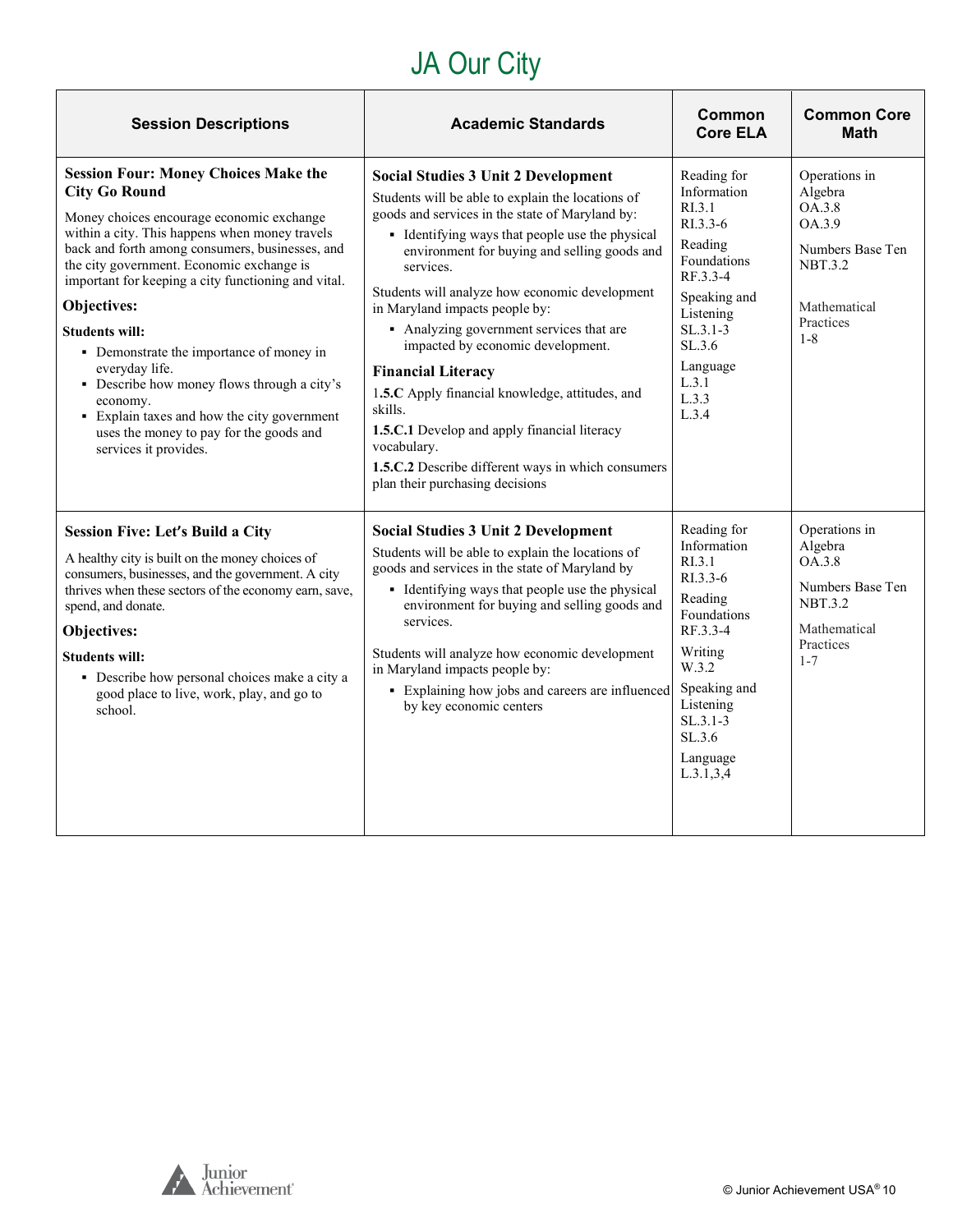# JA Our City

| <b>Session Descriptions</b>                                                                                                                                                                                                                                                                                                                                                                                                                                                                                                                                                                                   | <b>Academic Standards</b>                                                                                                                                                                                                                                                                                                                                                                                                                                                                                                                                                                                                                                                                  | <b>Common</b><br><b>Core ELA</b>                                                                                                                                                                       | <b>Common Core</b><br><b>Math</b>                                                                                          |
|---------------------------------------------------------------------------------------------------------------------------------------------------------------------------------------------------------------------------------------------------------------------------------------------------------------------------------------------------------------------------------------------------------------------------------------------------------------------------------------------------------------------------------------------------------------------------------------------------------------|--------------------------------------------------------------------------------------------------------------------------------------------------------------------------------------------------------------------------------------------------------------------------------------------------------------------------------------------------------------------------------------------------------------------------------------------------------------------------------------------------------------------------------------------------------------------------------------------------------------------------------------------------------------------------------------------|--------------------------------------------------------------------------------------------------------------------------------------------------------------------------------------------------------|----------------------------------------------------------------------------------------------------------------------------|
| <b>Session Four: Money Choices Make the</b><br><b>City Go Round</b><br>Money choices encourage economic exchange<br>within a city. This happens when money travels<br>back and forth among consumers, businesses, and<br>the city government. Economic exchange is<br>important for keeping a city functioning and vital.<br>Objectives:<br><b>Students will:</b><br>• Demonstrate the importance of money in<br>everyday life.<br>• Describe how money flows through a city's<br>economy.<br>• Explain taxes and how the city government<br>uses the money to pay for the goods and<br>services it provides. | <b>Social Studies 3 Unit 2 Development</b><br>Students will be able to explain the locations of<br>goods and services in the state of Maryland by:<br>• Identifying ways that people use the physical<br>environment for buying and selling goods and<br>services.<br>Students will analyze how economic development<br>in Maryland impacts people by:<br>• Analyzing government services that are<br>impacted by economic development.<br><b>Financial Literacy</b><br>1.5.C Apply financial knowledge, attitudes, and<br>skills.<br>1.5.C.1 Develop and apply financial literacy<br>vocabulary.<br>1.5.C.2 Describe different ways in which consumers<br>plan their purchasing decisions | Reading for<br>Information<br>R <sub>L</sub> 3.1<br>$RI.3.3-6$<br>Reading<br>Foundations<br>RF.3.3-4<br>Speaking and<br>Listening<br>$SL.3.1-3$<br>SL.3.6<br>Language<br>L.3.1<br>L.3.3<br>L.3.4       | Operations in<br>Algebra<br>OA.3.8<br>OA.3.9<br>Numbers Base Ten<br><b>NBT.3.2</b><br>Mathematical<br>Practices<br>$1 - 8$ |
| <b>Session Five: Let's Build a City</b><br>A healthy city is built on the money choices of<br>consumers, businesses, and the government. A city<br>thrives when these sectors of the economy earn, save,<br>spend, and donate.<br>Objectives:<br><b>Students will:</b><br>• Describe how personal choices make a city a<br>good place to live, work, play, and go to<br>school.                                                                                                                                                                                                                               | <b>Social Studies 3 Unit 2 Development</b><br>Students will be able to explain the locations of<br>goods and services in the state of Maryland by<br>• Identifying ways that people use the physical<br>environment for buying and selling goods and<br>services.<br>Students will analyze how economic development<br>in Maryland impacts people by:<br>• Explaining how jobs and careers are influenced<br>by key economic centers                                                                                                                                                                                                                                                       | Reading for<br>Information<br>R <sub>L</sub> 3.1<br>RI.3.3-6<br>Reading<br>Foundations<br>RF.3.3-4<br>Writing<br>W.3.2<br>Speaking and<br>Listening<br>$SL.3.1-3$<br>SL.3.6<br>Language<br>L.3.1, 3, 4 | Operations in<br>Algebra<br>OA.3.8<br>Numbers Base Ten<br><b>NBT.3.2</b><br>Mathematical<br>Practices<br>$1 - 7$           |

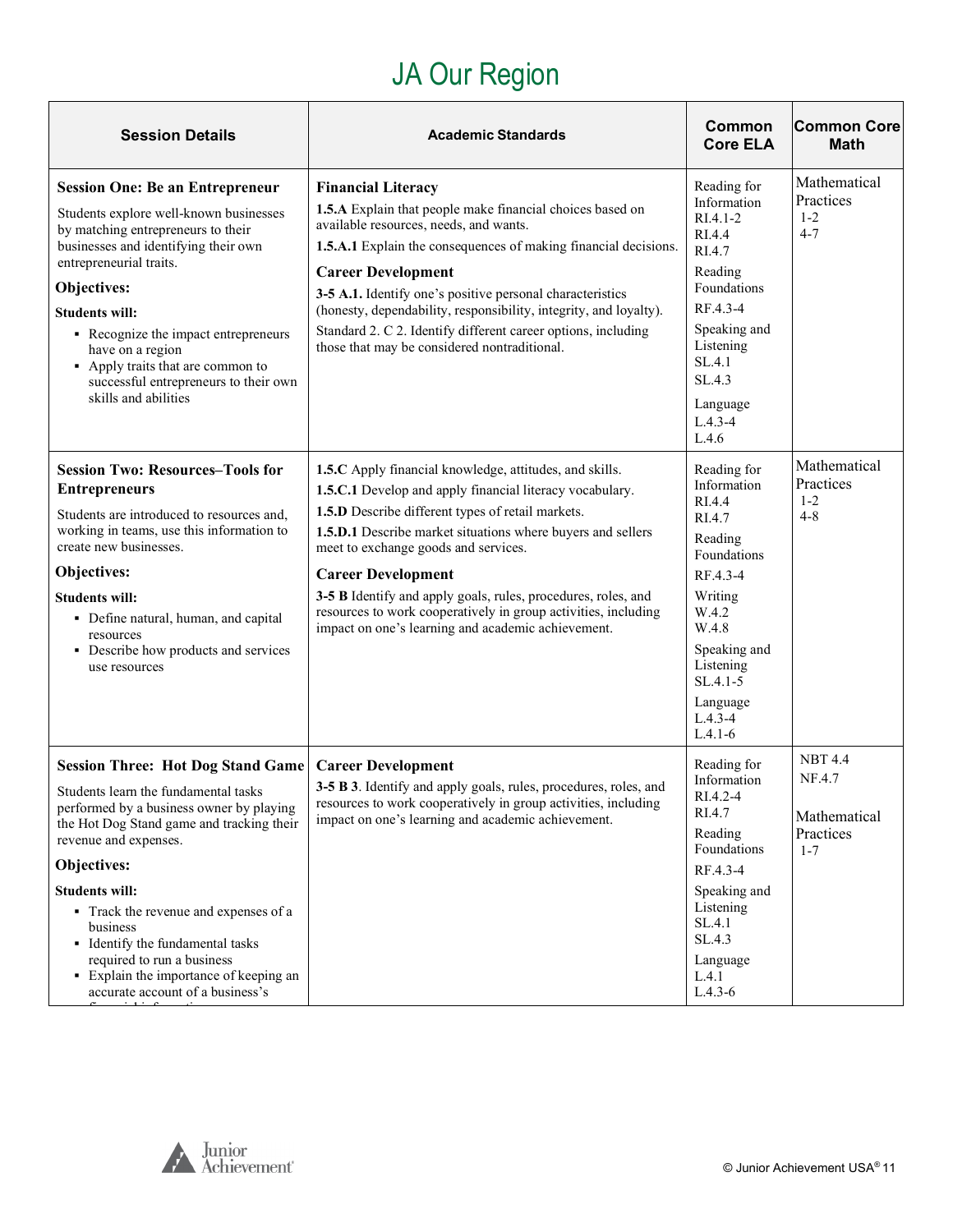# JA Our Region

<span id="page-10-0"></span>

| <b>Session Details</b>                                                                                                                                                                                                                                                                                                                                                                                                                          | <b>Academic Standards</b>                                                                                                                                                                                                                                                                                                                                                                                                                                                                             | Common<br><b>Core ELA</b>                                                                                                                                                                              | <b>Common Core</b><br><b>Math</b>                                |
|-------------------------------------------------------------------------------------------------------------------------------------------------------------------------------------------------------------------------------------------------------------------------------------------------------------------------------------------------------------------------------------------------------------------------------------------------|-------------------------------------------------------------------------------------------------------------------------------------------------------------------------------------------------------------------------------------------------------------------------------------------------------------------------------------------------------------------------------------------------------------------------------------------------------------------------------------------------------|--------------------------------------------------------------------------------------------------------------------------------------------------------------------------------------------------------|------------------------------------------------------------------|
| <b>Session One: Be an Entrepreneur</b><br>Students explore well-known businesses<br>by matching entrepreneurs to their<br>businesses and identifying their own<br>entrepreneurial traits.<br>Objectives:<br><b>Students will:</b><br>• Recognize the impact entrepreneurs<br>have on a region<br>• Apply traits that are common to<br>successful entrepreneurs to their own<br>skills and abilities                                             | <b>Financial Literacy</b><br>1.5.A Explain that people make financial choices based on<br>available resources, needs, and wants.<br>1.5.A.1 Explain the consequences of making financial decisions.<br><b>Career Development</b><br>3-5 A.1. Identify one's positive personal characteristics<br>(honesty, dependability, responsibility, integrity, and loyalty).<br>Standard 2. C 2. Identify different career options, including<br>those that may be considered nontraditional.                   | Reading for<br>Information<br>$RI.4.1 - 2$<br>RI.4.4<br>RI.4.7<br>Reading<br>Foundations<br>RF.4.3-4<br>Speaking and<br>Listening<br>SL.4.1<br>SL.4.3<br>Language<br>$L.4.3 - 4$<br>L.4.6              | Mathematical<br>Practices<br>$1 - 2$<br>$4 - 7$                  |
| <b>Session Two: Resources-Tools for</b><br><b>Entrepreneurs</b><br>Students are introduced to resources and,<br>working in teams, use this information to<br>create new businesses.<br>Objectives:<br><b>Students will:</b><br>• Define natural, human, and capital<br>resources<br>• Describe how products and services<br>use resources                                                                                                       | 1.5.C Apply financial knowledge, attitudes, and skills.<br>1.5.C.1 Develop and apply financial literacy vocabulary.<br>1.5.D Describe different types of retail markets.<br>1.5.D.1 Describe market situations where buyers and sellers<br>meet to exchange goods and services.<br><b>Career Development</b><br>3-5 B Identify and apply goals, rules, procedures, roles, and<br>resources to work cooperatively in group activities, including<br>impact on one's learning and academic achievement. | Reading for<br>Information<br>RI.4.4<br>RI.4.7<br>Reading<br>Foundations<br>RF.4.3-4<br>Writing<br>W.4.2<br>W.4.8<br>Speaking and<br>Listening<br>$SL.4.1 - 5$<br>Language<br>$L.4.3 - 4$<br>$L.4.1-6$ | Mathematical<br>Practices<br>$1 - 2$<br>$4 - 8$                  |
| <b>Session Three: Hot Dog Stand Game</b><br>Students learn the fundamental tasks<br>performed by a business owner by playing<br>the Hot Dog Stand game and tracking their<br>revenue and expenses.<br>Objectives:<br><b>Students will:</b><br>• Track the revenue and expenses of a<br>business<br>• Identify the fundamental tasks<br>required to run a business<br>• Explain the importance of keeping an<br>accurate account of a business's | <b>Career Development</b><br>3-5 B 3. Identify and apply goals, rules, procedures, roles, and<br>resources to work cooperatively in group activities, including<br>impact on one's learning and academic achievement.                                                                                                                                                                                                                                                                                 | Reading for<br>Information<br>RI.4.2-4<br>RI.4.7<br>Reading<br>Foundations<br>RF.4.3-4<br>Speaking and<br>Listening<br>SL.4.1<br>SL.4.3<br>Language<br>L.4.1<br>$L.4.3-6$                              | <b>NBT 4.4</b><br>NF.4.7<br>Mathematical<br>Practices<br>$1 - 7$ |



 $\ddot{\hspace{1.2cm}}$  ii  $\circ$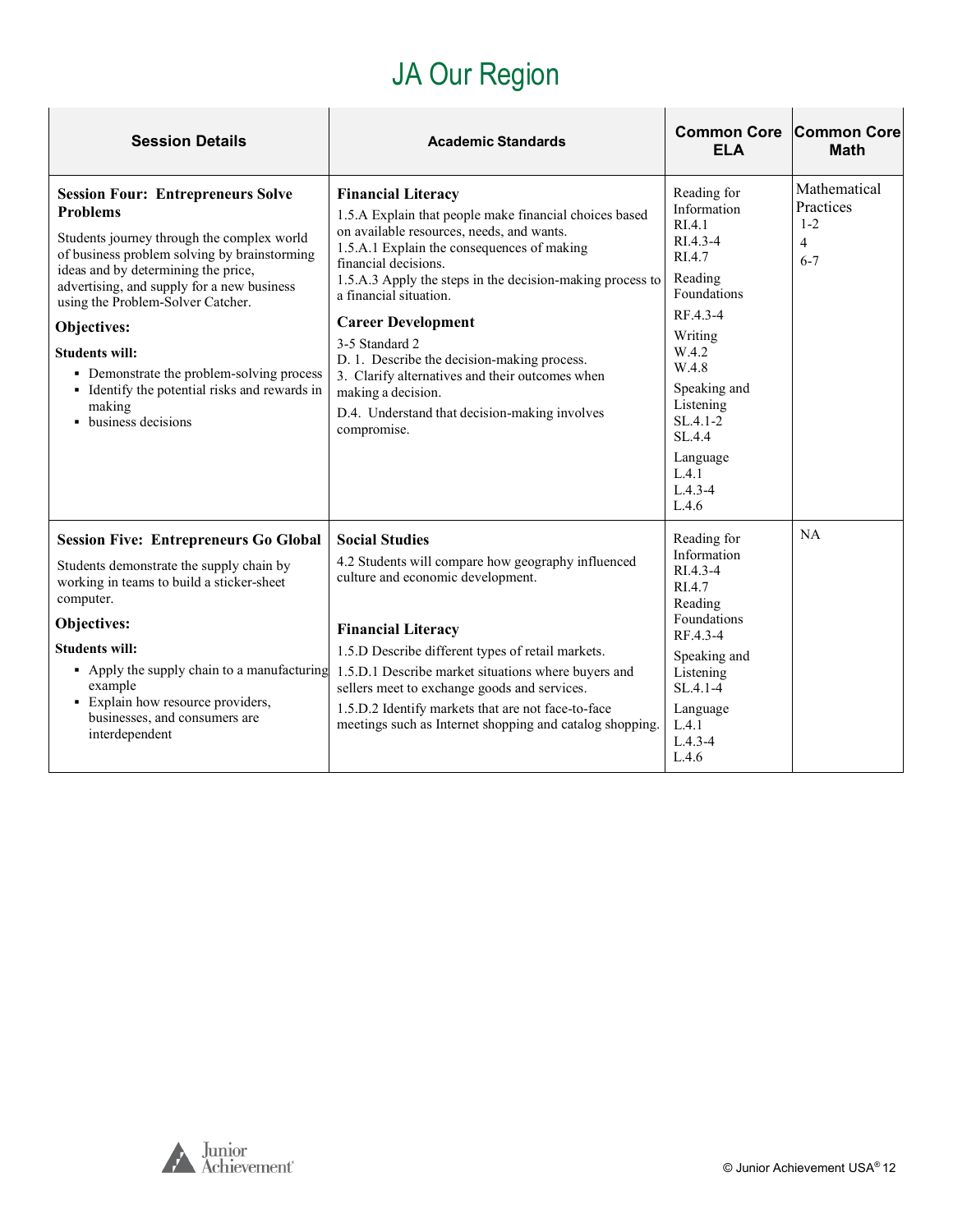# JA Our Region

| <b>Session Details</b>                                                                                                                                                                                                                                                                                                                                                                                                                                      | <b>Academic Standards</b>                                                                                                                                                                                                                                                                                                                                                                                                                                                                                                            | <b>Common Core</b><br><b>ELA</b>                                                                                                                                                                                               | <b>Common Core</b><br><b>Math</b>                    |
|-------------------------------------------------------------------------------------------------------------------------------------------------------------------------------------------------------------------------------------------------------------------------------------------------------------------------------------------------------------------------------------------------------------------------------------------------------------|--------------------------------------------------------------------------------------------------------------------------------------------------------------------------------------------------------------------------------------------------------------------------------------------------------------------------------------------------------------------------------------------------------------------------------------------------------------------------------------------------------------------------------------|--------------------------------------------------------------------------------------------------------------------------------------------------------------------------------------------------------------------------------|------------------------------------------------------|
| <b>Session Four: Entrepreneurs Solve</b><br><b>Problems</b><br>Students journey through the complex world<br>of business problem solving by brainstorming<br>ideas and by determining the price,<br>advertising, and supply for a new business<br>using the Problem-Solver Catcher.<br>Objectives:<br><b>Students will:</b><br>• Demonstrate the problem-solving process<br>• Identify the potential risks and rewards in<br>making<br>• business decisions | <b>Financial Literacy</b><br>1.5.A Explain that people make financial choices based<br>on available resources, needs, and wants.<br>1.5.A.1 Explain the consequences of making<br>financial decisions.<br>1.5.A.3 Apply the steps in the decision-making process to<br>a financial situation.<br><b>Career Development</b><br>3-5 Standard 2<br>D. 1. Describe the decision-making process.<br>3. Clarify alternatives and their outcomes when<br>making a decision.<br>D.4. Understand that decision-making involves<br>compromise. | Reading for<br>Information<br>RIA.1<br>RI.4.3-4<br>RI.4.7<br>Reading<br>Foundations<br>RF.4.3-4<br>Writing<br>W.4.2<br>W.4.8<br>Speaking and<br>Listening<br>$SL.4.1-2$<br>SL.4.4<br>Language<br>L.4.1<br>$L.4.3 - 4$<br>L.4.6 | Mathematical<br>Practices<br>$1 - 2$<br>4<br>$6 - 7$ |
| <b>Session Five: Entrepreneurs Go Global</b><br>Students demonstrate the supply chain by<br>working in teams to build a sticker-sheet<br>computer.<br>Objectives:<br><b>Students will:</b><br>• Apply the supply chain to a manufacturing<br>example<br>• Explain how resource providers,<br>businesses, and consumers are<br>interdependent                                                                                                                | <b>Social Studies</b><br>4.2 Students will compare how geography influenced<br>culture and economic development.<br><b>Financial Literacy</b><br>1.5.D Describe different types of retail markets.<br>1.5.D.1 Describe market situations where buyers and<br>sellers meet to exchange goods and services.<br>1.5.D.2 Identify markets that are not face-to-face<br>meetings such as Internet shopping and catalog shopping.                                                                                                          | Reading for<br>Information<br>RI.4.3-4<br>RI.4.7<br>Reading<br>Foundations<br>RF.4.3-4<br>Speaking and<br>Listening<br>$SL.4.1 - 4$<br>Language<br>L.4.1<br>$L.4.3 - 4$<br>L.4.6                                               | NA                                                   |

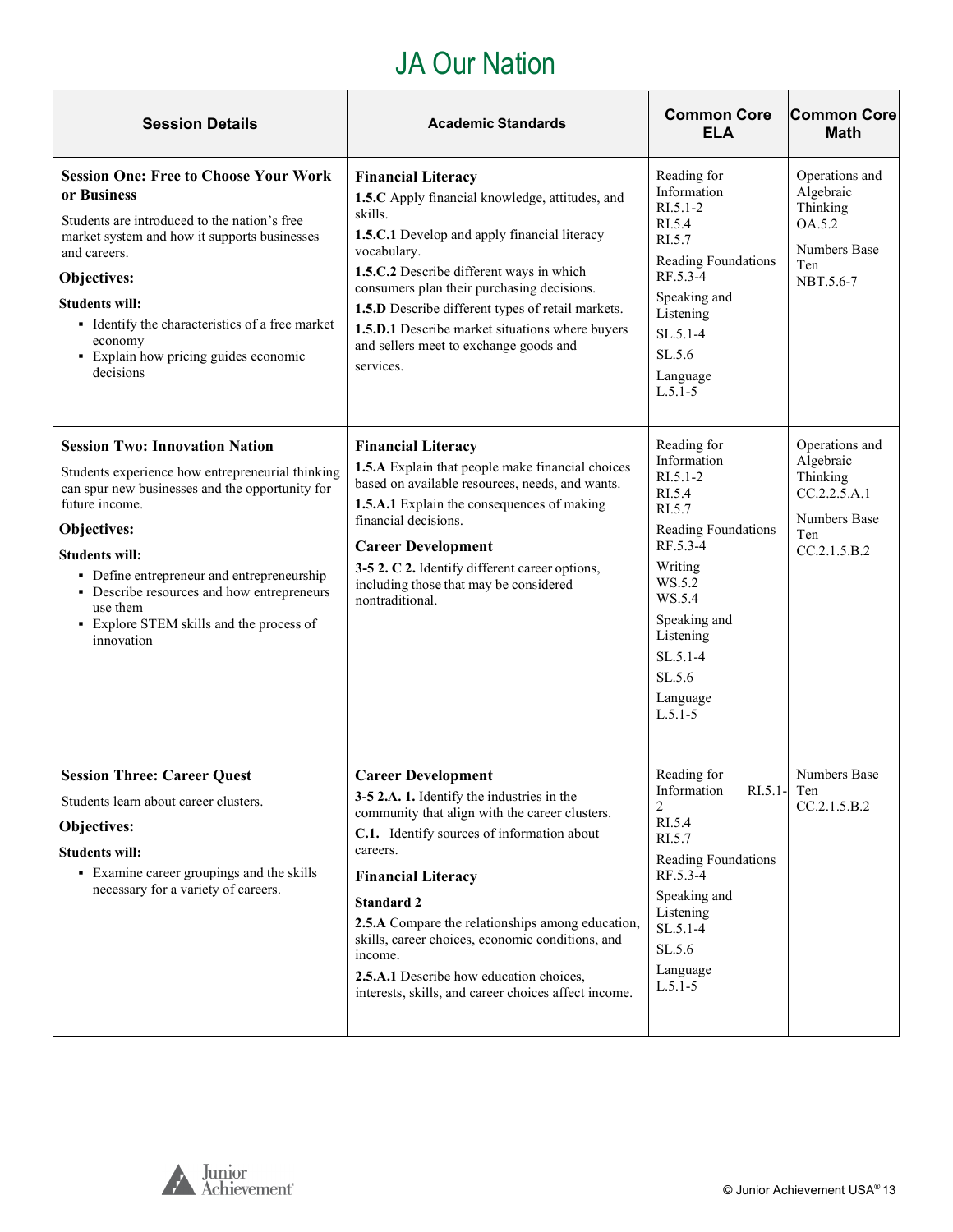## JA Our Nation

| <b>Session Details</b>                                                                                                                                                                                                                                                                                                                                                   | <b>Academic Standards</b>                                                                                                                                                                                                                                                                                                                                                                                                                                   | <b>Common Core</b><br><b>ELA</b>                                                                                                                                                                               | <b>Common Core</b><br><b>Math</b>                                                              |
|--------------------------------------------------------------------------------------------------------------------------------------------------------------------------------------------------------------------------------------------------------------------------------------------------------------------------------------------------------------------------|-------------------------------------------------------------------------------------------------------------------------------------------------------------------------------------------------------------------------------------------------------------------------------------------------------------------------------------------------------------------------------------------------------------------------------------------------------------|----------------------------------------------------------------------------------------------------------------------------------------------------------------------------------------------------------------|------------------------------------------------------------------------------------------------|
| <b>Session One: Free to Choose Your Work</b><br>or Business<br>Students are introduced to the nation's free<br>market system and how it supports businesses<br>and careers.<br>Objectives:<br><b>Students will:</b><br>• Identify the characteristics of a free market<br>economy<br>• Explain how pricing guides economic<br>decisions                                  | <b>Financial Literacy</b><br>1.5.C Apply financial knowledge, attitudes, and<br>skills.<br>1.5.C.1 Develop and apply financial literacy<br>vocabulary.<br>1.5.C.2 Describe different ways in which<br>consumers plan their purchasing decisions.<br>1.5.D Describe different types of retail markets.<br>1.5.D.1 Describe market situations where buyers<br>and sellers meet to exchange goods and<br>services.                                             | Reading for<br>Information<br>$R1.5.1-2$<br>RI.5.4<br>RI.5.7<br>Reading Foundations<br>RF.5.3-4<br>Speaking and<br>Listening<br>$SL.5.1-4$<br>SL.5.6<br>Language<br>$L.5.1 - 5$                                | Operations and<br>Algebraic<br>Thinking<br>OA.5.2<br><b>Numbers Base</b><br>Ten<br>NBT.5.6-7   |
| <b>Session Two: Innovation Nation</b><br>Students experience how entrepreneurial thinking<br>can spur new businesses and the opportunity for<br>future income.<br>Objectives:<br><b>Students will:</b><br>• Define entrepreneur and entrepreneurship<br>• Describe resources and how entrepreneurs<br>use them<br>• Explore STEM skills and the process of<br>innovation | <b>Financial Literacy</b><br>1.5.A Explain that people make financial choices<br>based on available resources, needs, and wants.<br>1.5.A.1 Explain the consequences of making<br>financial decisions.<br><b>Career Development</b><br>3-5 2. C 2. Identify different career options,<br>including those that may be considered<br>nontraditional.                                                                                                          | Reading for<br>Information<br>$R1.5.1-2$<br>RI.5.4<br>RI.5.7<br>Reading Foundations<br>RF.5.3-4<br>Writing<br>WS.5.2<br>WS.5.4<br>Speaking and<br>Listening<br>$SL.5.1-4$<br>SL.5.6<br>Language<br>$L.5.1 - 5$ | Operations and<br>Algebraic<br>Thinking<br>CC.2.2.5.A.1<br>Numbers Base<br>Ten<br>CC.2.1.5.B.2 |
| <b>Session Three: Career Quest</b><br>Students learn about career clusters.<br>Objectives:<br><b>Students will:</b><br>• Examine career groupings and the skills<br>necessary for a variety of careers.                                                                                                                                                                  | <b>Career Development</b><br>3-5 2.A. 1. Identify the industries in the<br>community that align with the career clusters.<br>C.1. Identify sources of information about<br>careers.<br><b>Financial Literacy</b><br><b>Standard 2</b><br>2.5.A Compare the relationships among education,<br>skills, career choices, economic conditions, and<br>income.<br>2.5.A.1 Describe how education choices,<br>interests, skills, and career choices affect income. | Reading for<br>Information<br>$RI.5.1$ - Ten<br>$\sqrt{2}$<br>RI.5.4<br>RI.5.7<br>Reading Foundations<br>RF.5.3-4<br>Speaking and<br>Listening<br>$SL.5.1-4$<br>SL.5.6<br>Language<br>$L.5.1-5$                | Numbers Base<br>CC.2.1.5.B.2                                                                   |

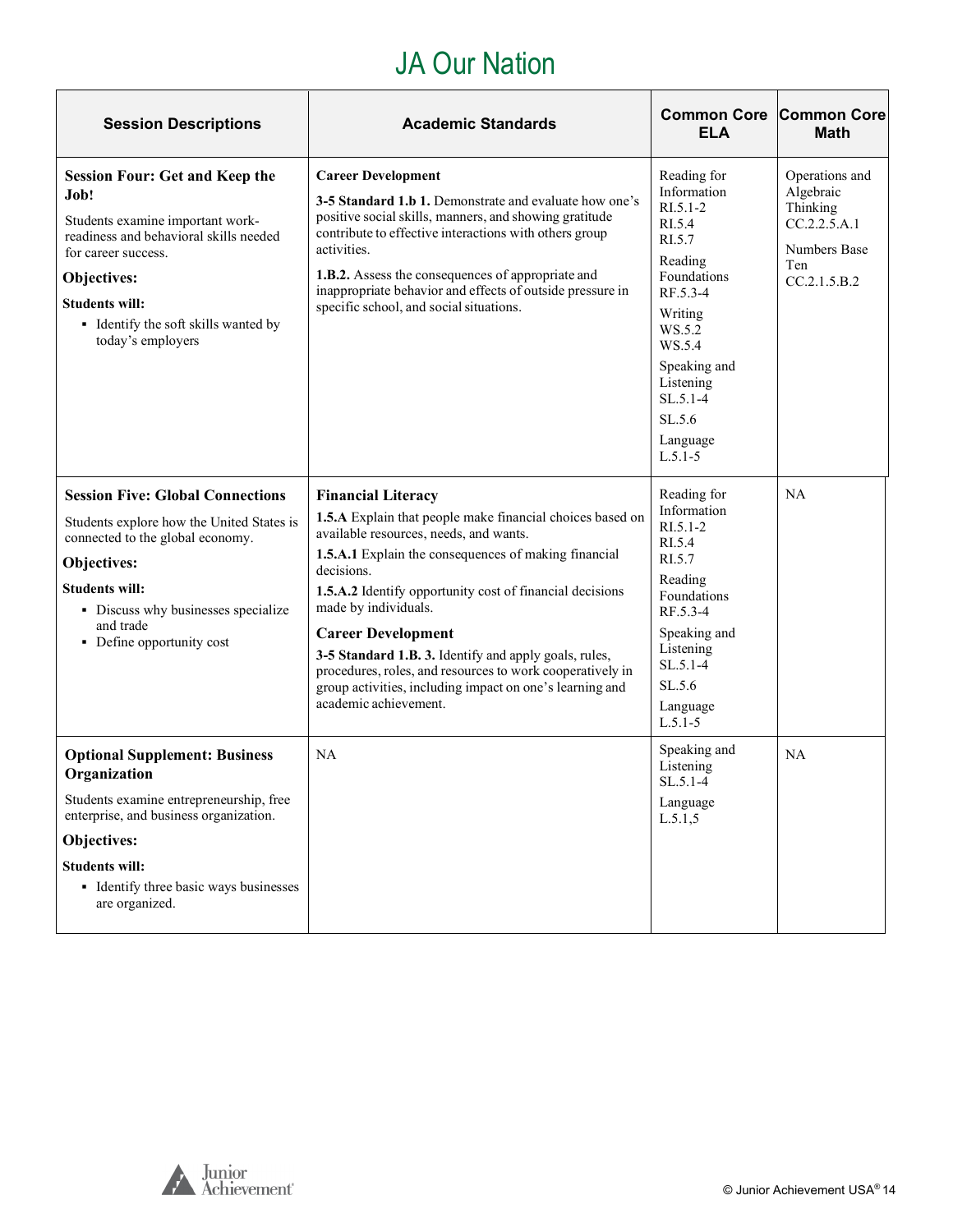## JA Our Nation

| <b>Session Descriptions</b>                                                                                                                                                                                                                             | <b>Academic Standards</b>                                                                                                                                                                                                                                                                                                                                                                                                                                                                                                          | <b>Common Core</b><br><b>ELA</b>                                                                                                                                                                                  | <b>Common Core</b><br><b>Math</b>                                                                     |
|---------------------------------------------------------------------------------------------------------------------------------------------------------------------------------------------------------------------------------------------------------|------------------------------------------------------------------------------------------------------------------------------------------------------------------------------------------------------------------------------------------------------------------------------------------------------------------------------------------------------------------------------------------------------------------------------------------------------------------------------------------------------------------------------------|-------------------------------------------------------------------------------------------------------------------------------------------------------------------------------------------------------------------|-------------------------------------------------------------------------------------------------------|
| <b>Session Four: Get and Keep the</b><br>Job!<br>Students examine important work-<br>readiness and behavioral skills needed<br>for career success.<br>Objectives:<br><b>Students will:</b><br>• Identify the soft skills wanted by<br>today's employers | <b>Career Development</b><br>3-5 Standard 1.b 1. Demonstrate and evaluate how one's<br>positive social skills, manners, and showing gratitude<br>contribute to effective interactions with others group<br>activities.<br>1.B.2. Assess the consequences of appropriate and<br>inappropriate behavior and effects of outside pressure in<br>specific school, and social situations.                                                                                                                                                | Reading for<br>Information<br>$RI.5.1 - 2$<br>RI.5.4<br>RI.5.7<br>Reading<br>Foundations<br>RF.5.3-4<br>Writing<br>WS.5.2<br>WS.5.4<br>Speaking and<br>Listening<br>$SL.5.1-4$<br>SL.5.6<br>Language<br>$L.5.1-5$ | Operations and<br>Algebraic<br>Thinking<br>CC.2.2.5.A.1<br><b>Numbers Base</b><br>Ten<br>CC.2.1.5.B.2 |
| <b>Session Five: Global Connections</b><br>Students explore how the United States is<br>connected to the global economy.<br>Objectives:<br><b>Students will:</b><br>• Discuss why businesses specialize<br>and trade<br>• Define opportunity cost       | <b>Financial Literacy</b><br>1.5.A Explain that people make financial choices based on<br>available resources, needs, and wants.<br>1.5.A.1 Explain the consequences of making financial<br>decisions.<br>1.5.A.2 Identify opportunity cost of financial decisions<br>made by individuals.<br><b>Career Development</b><br>3-5 Standard 1.B. 3. Identify and apply goals, rules,<br>procedures, roles, and resources to work cooperatively in<br>group activities, including impact on one's learning and<br>academic achievement. | Reading for<br>Information<br>$R1.5.1-2$<br>RI.5.4<br>RI.5.7<br>Reading<br>Foundations<br>RF.5.3-4<br>Speaking and<br>Listening<br>$SL.5.1-4$<br>SL.5.6<br>Language<br>$L.5.1-5$                                  | NA                                                                                                    |
| <b>Optional Supplement: Business</b><br>Organization<br>Students examine entrepreneurship, free<br>enterprise, and business organization.<br>Objectives:<br><b>Students will:</b><br>• Identify three basic ways businesses<br>are organized.           | NA                                                                                                                                                                                                                                                                                                                                                                                                                                                                                                                                 | Speaking and<br>Listening<br>$SL.5.1-4$<br>Language<br>L.5.1.5                                                                                                                                                    | <b>NA</b>                                                                                             |

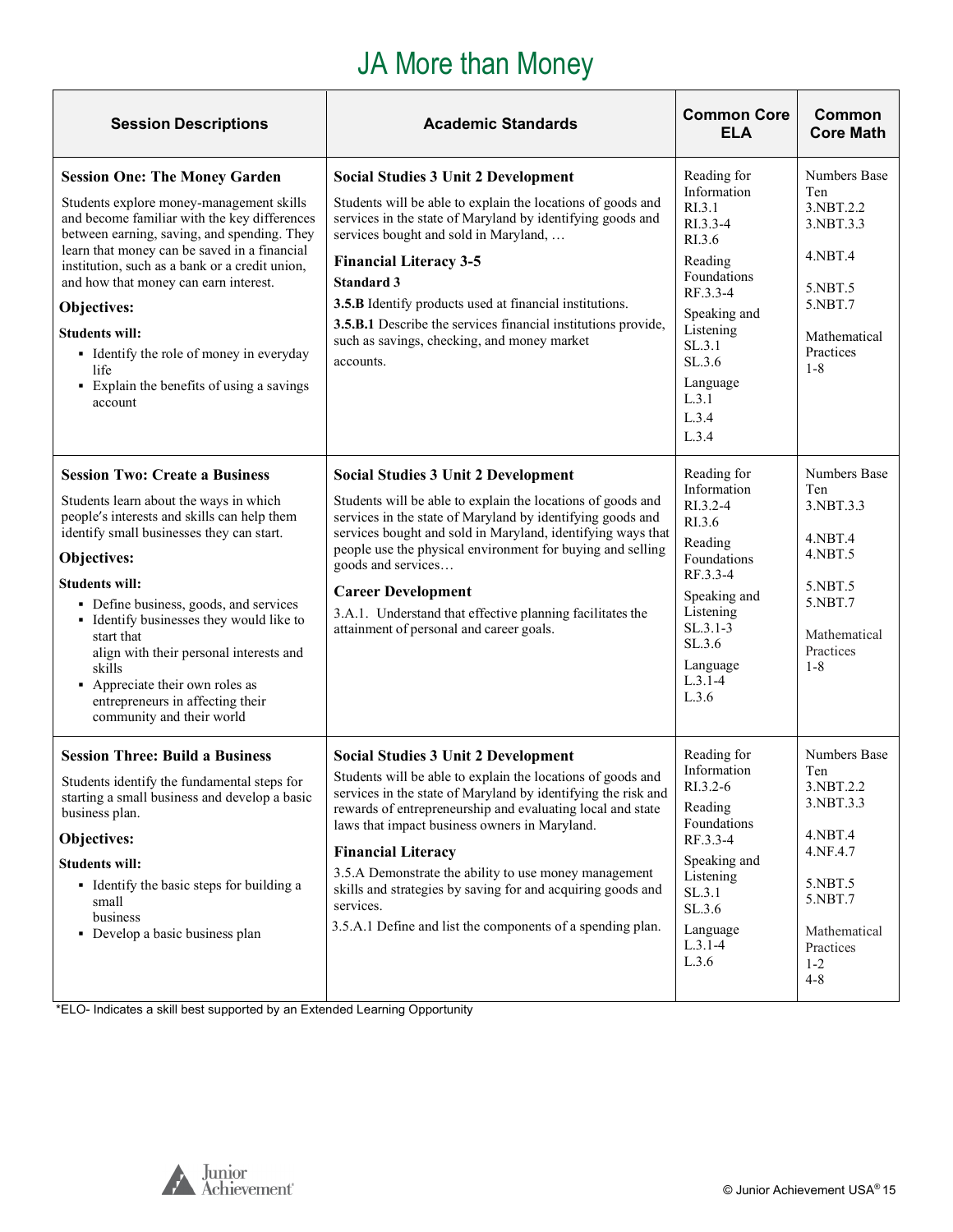# JA More than Money

<span id="page-14-0"></span>

| <b>Session Descriptions</b>                                                                                                                                                                                                                                                                                                                                                                                                                                                      | <b>Academic Standards</b>                                                                                                                                                                                                                                                                                                                                                                                                                                                                                                 | <b>Common Core</b><br><b>ELA</b>                                                                                                                                                         | Common<br><b>Core Math</b>                                                                                                                  |
|----------------------------------------------------------------------------------------------------------------------------------------------------------------------------------------------------------------------------------------------------------------------------------------------------------------------------------------------------------------------------------------------------------------------------------------------------------------------------------|---------------------------------------------------------------------------------------------------------------------------------------------------------------------------------------------------------------------------------------------------------------------------------------------------------------------------------------------------------------------------------------------------------------------------------------------------------------------------------------------------------------------------|------------------------------------------------------------------------------------------------------------------------------------------------------------------------------------------|---------------------------------------------------------------------------------------------------------------------------------------------|
| <b>Session One: The Money Garden</b><br>Students explore money-management skills<br>and become familiar with the key differences<br>between earning, saving, and spending. They<br>learn that money can be saved in a financial<br>institution, such as a bank or a credit union,<br>and how that money can earn interest.<br>Objectives:<br><b>Students will:</b><br>• Identify the role of money in everyday<br>life<br>• Explain the benefits of using a savings<br>account   | <b>Social Studies 3 Unit 2 Development</b><br>Students will be able to explain the locations of goods and<br>services in the state of Maryland by identifying goods and<br>services bought and sold in Maryland,<br><b>Financial Literacy 3-5</b><br>Standard 3<br>3.5.B Identify products used at financial institutions.<br>3.5.B.1 Describe the services financial institutions provide,<br>such as savings, checking, and money market<br>accounts.                                                                   | Reading for<br>Information<br>RI.3.1<br>RI.3.3-4<br>RI.3.6<br>Reading<br>Foundations<br>RF.3.3-4<br>Speaking and<br>Listening<br>SL.3.1<br>SL.3.6<br>Language<br>L.3.1<br>L.3.4<br>L.3.4 | Numbers Base<br>Ten<br>3.NBT.2.2<br>3.NBT.3.3<br>4.NBT.4<br>5.NBT.5<br>5.NBT.7<br>Mathematical<br>Practices<br>$1 - 8$                      |
| <b>Session Two: Create a Business</b><br>Students learn about the ways in which<br>people's interests and skills can help them<br>identify small businesses they can start.<br>Objectives:<br><b>Students will:</b><br>• Define business, goods, and services<br>• Identify businesses they would like to<br>start that<br>align with their personal interests and<br>skills<br>• Appreciate their own roles as<br>entrepreneurs in affecting their<br>community and their world | <b>Social Studies 3 Unit 2 Development</b><br>Students will be able to explain the locations of goods and<br>services in the state of Maryland by identifying goods and<br>services bought and sold in Maryland, identifying ways that<br>people use the physical environment for buying and selling<br>goods and services<br><b>Career Development</b><br>3.A.1. Understand that effective planning facilitates the<br>attainment of personal and career goals.                                                          | Reading for<br>Information<br>RI.3.2-4<br>RI.3.6<br>Reading<br>Foundations<br>RF.3.3-4<br>Speaking and<br>Listening<br>$SL.3.1-3$<br>SL.3.6<br>Language<br>$L.3.1 - 4$<br>L.3.6          | Numbers Base<br>Ten<br>3.NBT.3.3<br>4.NBT.4<br>4.NBT.5<br>5.NBT.5<br>5.NBT.7<br>Mathematical<br>Practices<br>$1 - 8$                        |
| <b>Session Three: Build a Business</b><br>Students identify the fundamental steps for<br>starting a small business and develop a basic<br>business plan.<br>Objectives:<br><b>Students will:</b><br>• Identify the basic steps for building a<br>small<br>business<br>• Develop a basic business plan                                                                                                                                                                            | <b>Social Studies 3 Unit 2 Development</b><br>Students will be able to explain the locations of goods and<br>services in the state of Maryland by identifying the risk and<br>rewards of entrepreneurship and evaluating local and state<br>laws that impact business owners in Maryland.<br><b>Financial Literacy</b><br>3.5.A Demonstrate the ability to use money management<br>skills and strategies by saving for and acquiring goods and<br>services.<br>3.5.A.1 Define and list the components of a spending plan. | Reading for<br>Information<br>RI.3.2-6<br>Reading<br>Foundations<br>RF.3.3-4<br>Speaking and<br>Listening<br>SL.3.1<br>SL.3.6<br>Language<br>$L.3.1-4$<br>L.3.6                          | Numbers Base<br>Ten<br>3.NBT.2.2<br>3.NBT.3.3<br>4.NBT.4<br>4.NF.4.7<br>5.NBT.5<br>5.NBT.7<br>Mathematical<br>Practices<br>$1-2$<br>$4 - 8$ |

\*ELO- Indicates a skill best supported by an Extended Learning Opportunity

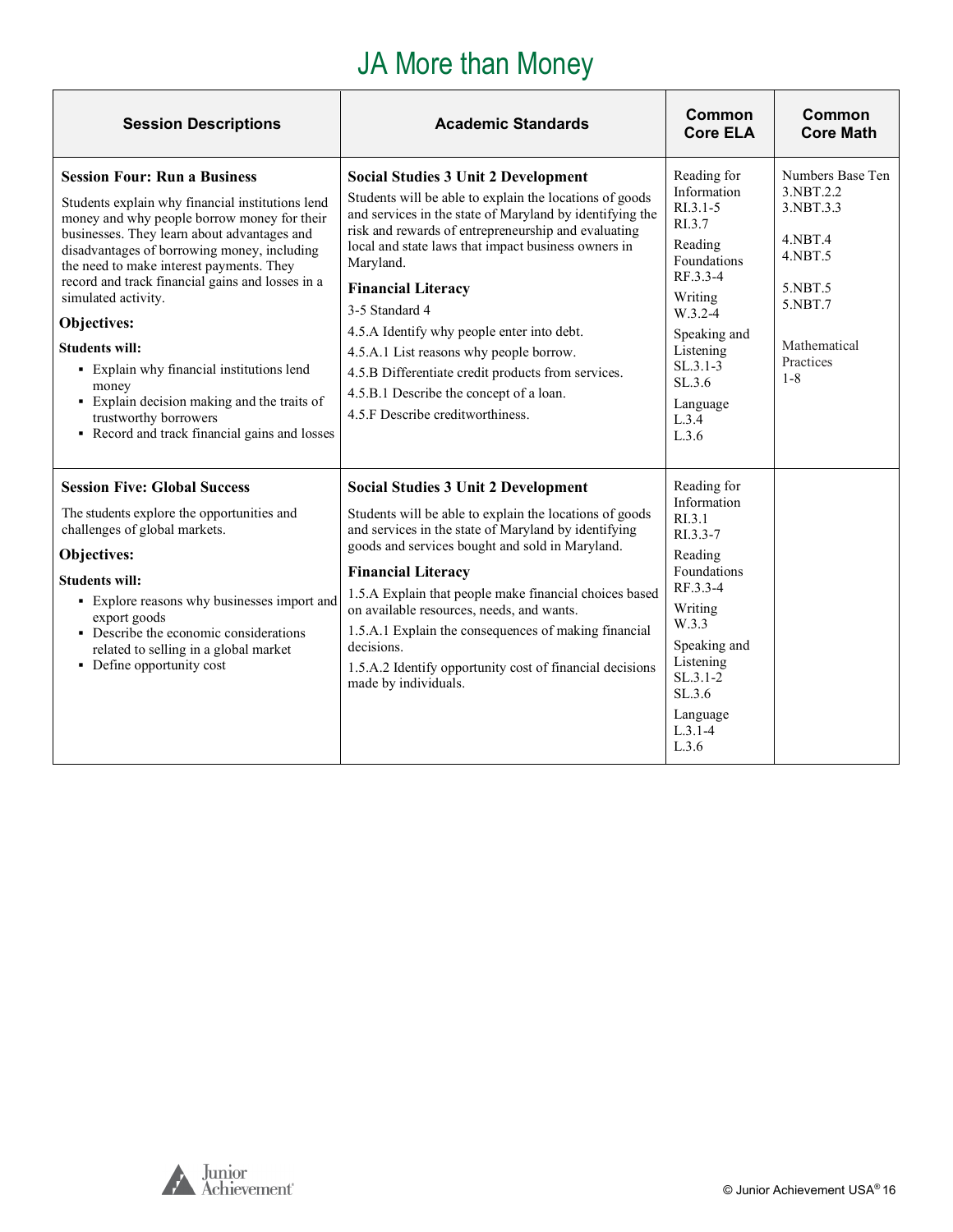# JA More than Money

| <b>Session Descriptions</b>                                                                                                                                                                                                                                                                                                                                                                                                                                                                                                                                                        | <b>Academic Standards</b>                                                                                                                                                                                                                                                                                                                                                                                                                                                                                                                                                 | Common<br><b>Core ELA</b>                                                                                                                                                                             | Common<br><b>Core Math</b>                                                                                                           |
|------------------------------------------------------------------------------------------------------------------------------------------------------------------------------------------------------------------------------------------------------------------------------------------------------------------------------------------------------------------------------------------------------------------------------------------------------------------------------------------------------------------------------------------------------------------------------------|---------------------------------------------------------------------------------------------------------------------------------------------------------------------------------------------------------------------------------------------------------------------------------------------------------------------------------------------------------------------------------------------------------------------------------------------------------------------------------------------------------------------------------------------------------------------------|-------------------------------------------------------------------------------------------------------------------------------------------------------------------------------------------------------|--------------------------------------------------------------------------------------------------------------------------------------|
| <b>Session Four: Run a Business</b><br>Students explain why financial institutions lend<br>money and why people borrow money for their<br>businesses. They learn about advantages and<br>disadvantages of borrowing money, including<br>the need to make interest payments. They<br>record and track financial gains and losses in a<br>simulated activity.<br>Objectives:<br><b>Students will:</b><br>• Explain why financial institutions lend<br>money<br>• Explain decision making and the traits of<br>trustworthy borrowers<br>• Record and track financial gains and losses | <b>Social Studies 3 Unit 2 Development</b><br>Students will be able to explain the locations of goods<br>and services in the state of Maryland by identifying the<br>risk and rewards of entrepreneurship and evaluating<br>local and state laws that impact business owners in<br>Maryland.<br><b>Financial Literacy</b><br>3-5 Standard 4<br>4.5.A Identify why people enter into debt.<br>4.5.A.1 List reasons why people borrow.<br>4.5.B Differentiate credit products from services.<br>4.5.B.1 Describe the concept of a loan.<br>4.5.F Describe creditworthiness. | Reading for<br>Information<br>$R1.3.1 - 5$<br>RI.3.7<br>Reading<br>Foundations<br>RF.3.3-4<br>Writing<br>$W.3.2-4$<br>Speaking and<br>Listening<br>$SL.3.1-3$<br>SL.3.6<br>Language<br>L.3.4<br>L.3.6 | Numbers Base Ten<br>3.NBT.2.2<br>3.NBT.3.3<br>$4.$ NBT $.4$<br>4.NBT.5<br>5.NBT.5<br>5.NBT.7<br>Mathematical<br>Practices<br>$1 - 8$ |
| <b>Session Five: Global Success</b><br>The students explore the opportunities and<br>challenges of global markets.<br>Objectives:<br><b>Students will:</b><br>• Explore reasons why businesses import and<br>export goods<br>• Describe the economic considerations<br>related to selling in a global market<br>• Define opportunity cost                                                                                                                                                                                                                                          | <b>Social Studies 3 Unit 2 Development</b><br>Students will be able to explain the locations of goods<br>and services in the state of Maryland by identifying<br>goods and services bought and sold in Maryland.<br><b>Financial Literacy</b><br>1.5.A Explain that people make financial choices based<br>on available resources, needs, and wants.<br>1.5.A.1 Explain the consequences of making financial<br>decisions.<br>1.5.A.2 Identify opportunity cost of financial decisions<br>made by individuals.                                                            | Reading for<br>Information<br>RI.3.1<br>RL3.3-7<br>Reading<br>Foundations<br>RF.3.3-4<br>Writing<br>W.3.3<br>Speaking and<br>Listening<br>$SL.3.1-2$<br>SL.3.6<br>Language<br>$L.3.1 - 4$<br>L.3.6    |                                                                                                                                      |



**r**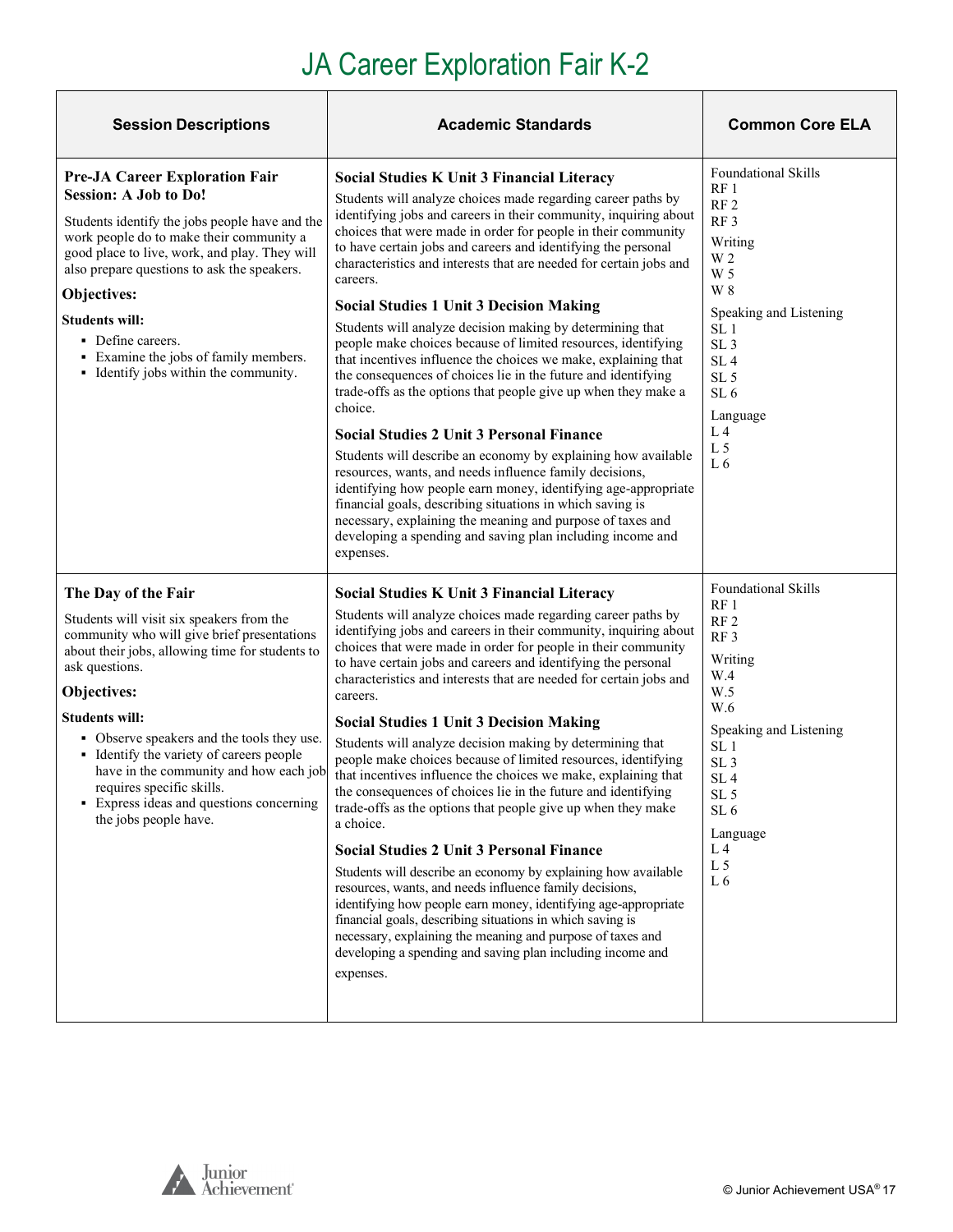# JA Career Exploration Fair K-2

| <b>Session Descriptions</b>                                                                                                                                                                                                                                                                                                                                                                                                                                        | <b>Academic Standards</b>                                                                                                                                                                                                                                                                                                                                                                                                                                                                                                                                                                                                                                                                                                                                                                                                                                                                                                                                                                                                                                                                                                                                                                                                                                        | <b>Common Core ELA</b>                                                                                                                                                                                                                                                                                 |
|--------------------------------------------------------------------------------------------------------------------------------------------------------------------------------------------------------------------------------------------------------------------------------------------------------------------------------------------------------------------------------------------------------------------------------------------------------------------|------------------------------------------------------------------------------------------------------------------------------------------------------------------------------------------------------------------------------------------------------------------------------------------------------------------------------------------------------------------------------------------------------------------------------------------------------------------------------------------------------------------------------------------------------------------------------------------------------------------------------------------------------------------------------------------------------------------------------------------------------------------------------------------------------------------------------------------------------------------------------------------------------------------------------------------------------------------------------------------------------------------------------------------------------------------------------------------------------------------------------------------------------------------------------------------------------------------------------------------------------------------|--------------------------------------------------------------------------------------------------------------------------------------------------------------------------------------------------------------------------------------------------------------------------------------------------------|
| <b>Pre-JA Career Exploration Fair</b><br><b>Session: A Job to Do!</b><br>Students identify the jobs people have and the<br>work people do to make their community a<br>good place to live, work, and play. They will<br>also prepare questions to ask the speakers.<br>Objectives:<br><b>Students will:</b><br>• Define careers.<br>• Examine the jobs of family members.<br>• Identify jobs within the community.                                                 | <b>Social Studies K Unit 3 Financial Literacy</b><br>Students will analyze choices made regarding career paths by<br>identifying jobs and careers in their community, inquiring about<br>choices that were made in order for people in their community<br>to have certain jobs and careers and identifying the personal<br>characteristics and interests that are needed for certain jobs and<br>careers.<br><b>Social Studies 1 Unit 3 Decision Making</b><br>Students will analyze decision making by determining that<br>people make choices because of limited resources, identifying<br>that incentives influence the choices we make, explaining that<br>the consequences of choices lie in the future and identifying<br>trade-offs as the options that people give up when they make a<br>choice.<br><b>Social Studies 2 Unit 3 Personal Finance</b><br>Students will describe an economy by explaining how available<br>resources, wants, and needs influence family decisions,<br>identifying how people earn money, identifying age-appropriate<br>financial goals, describing situations in which saving is<br>necessary, explaining the meaning and purpose of taxes and<br>developing a spending and saving plan including income and<br>expenses. | <b>Foundational Skills</b><br>RF <sub>1</sub><br>RF <sub>2</sub><br>RF <sub>3</sub><br>Writing<br>W 2<br>W 5<br>W 8<br>Speaking and Listening<br>SL 1<br>SL <sub>3</sub><br>SL <sub>4</sub><br>SL <sub>5</sub><br>SL <sub>6</sub><br>Language<br>L <sub>4</sub><br>L <sub>5</sub><br>L6                |
| The Day of the Fair<br>Students will visit six speakers from the<br>community who will give brief presentations<br>about their jobs, allowing time for students to<br>ask questions.<br>Objectives:<br><b>Students will:</b><br>• Observe speakers and the tools they use.<br>• Identify the variety of careers people<br>have in the community and how each job<br>requires specific skills.<br>• Express ideas and questions concerning<br>the jobs people have. | <b>Social Studies K Unit 3 Financial Literacy</b><br>Students will analyze choices made regarding career paths by<br>identifying jobs and careers in their community, inquiring about<br>choices that were made in order for people in their community<br>to have certain jobs and careers and identifying the personal<br>characteristics and interests that are needed for certain jobs and<br>careers.<br><b>Social Studies 1 Unit 3 Decision Making</b><br>Students will analyze decision making by determining that<br>people make choices because of limited resources, identifying<br>that incentives influence the choices we make, explaining that<br>the consequences of choices lie in the future and identifying<br>trade-offs as the options that people give up when they make<br>a choice.<br><b>Social Studies 2 Unit 3 Personal Finance</b><br>Students will describe an economy by explaining how available<br>resources, wants, and needs influence family decisions,<br>identifying how people earn money, identifying age-appropriate<br>financial goals, describing situations in which saving is<br>necessary, explaining the meaning and purpose of taxes and<br>developing a spending and saving plan including income and<br>expenses. | <b>Foundational Skills</b><br>RF <sub>1</sub><br>RF <sub>2</sub><br>RF <sub>3</sub><br>Writing<br>W.4<br>W.5<br>W.6<br>Speaking and Listening<br>SL <sub>1</sub><br>SL <sub>3</sub><br>SL <sub>4</sub><br>SL <sub>5</sub><br>SL <sub>6</sub><br>Language<br>L <sub>4</sub><br>L <sub>5</sub><br>$L\,6$ |

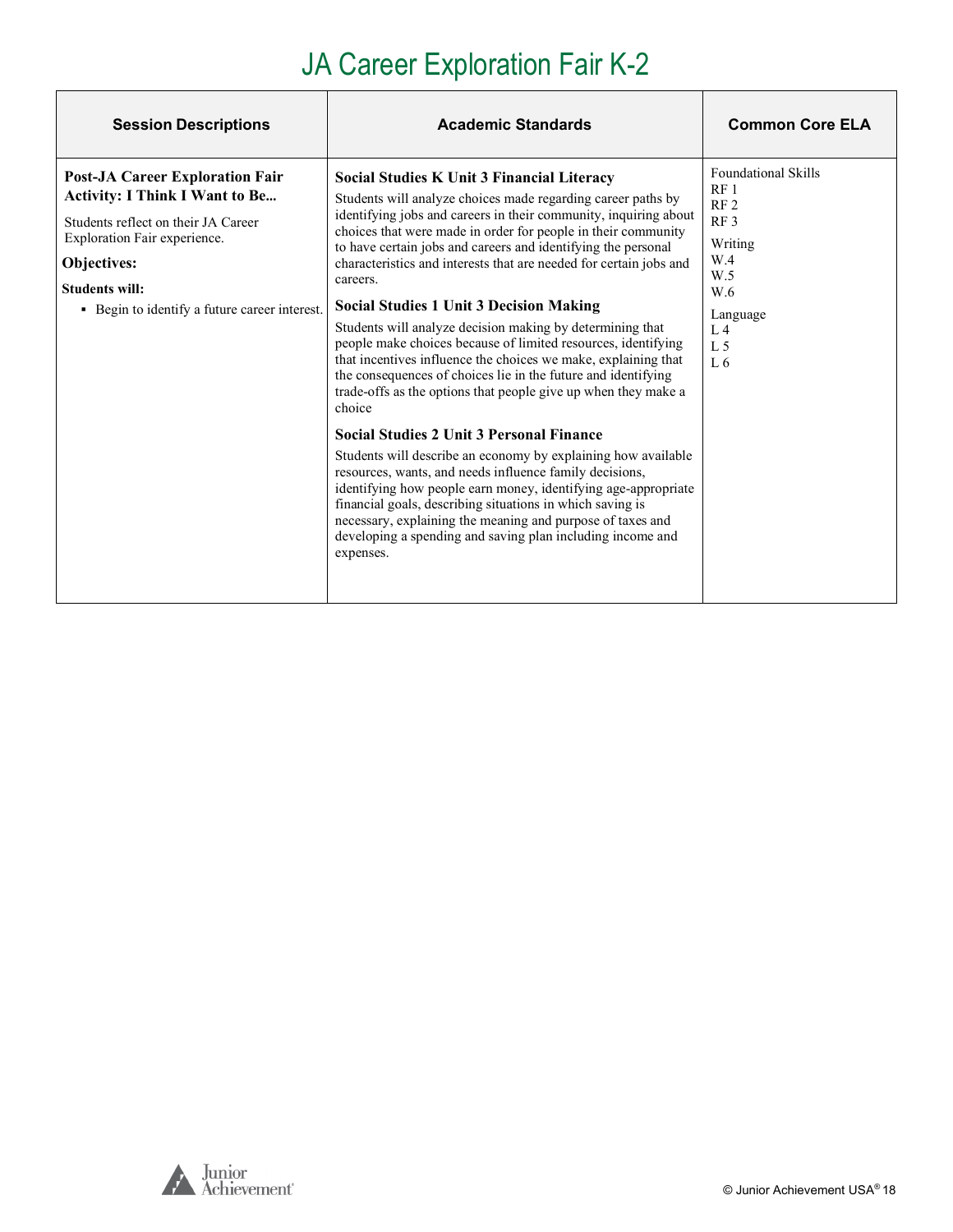# JA Career Exploration Fair K-2

| <b>Session Descriptions</b>                                                                                                                                                                                                                     | <b>Academic Standards</b>                                                                                                                                                                                                                                                                                                                                                                                                                                                                                                                                                                                                                                                                                                                                                                                                                                                                                                                                                                                                                                                                                                                                                                                                                                | <b>Common Core ELA</b>                                                                                                                                           |
|-------------------------------------------------------------------------------------------------------------------------------------------------------------------------------------------------------------------------------------------------|----------------------------------------------------------------------------------------------------------------------------------------------------------------------------------------------------------------------------------------------------------------------------------------------------------------------------------------------------------------------------------------------------------------------------------------------------------------------------------------------------------------------------------------------------------------------------------------------------------------------------------------------------------------------------------------------------------------------------------------------------------------------------------------------------------------------------------------------------------------------------------------------------------------------------------------------------------------------------------------------------------------------------------------------------------------------------------------------------------------------------------------------------------------------------------------------------------------------------------------------------------|------------------------------------------------------------------------------------------------------------------------------------------------------------------|
| <b>Post-JA Career Exploration Fair</b><br><b>Activity: I Think I Want to Be</b><br>Students reflect on their JA Career<br>Exploration Fair experience.<br>Objectives:<br><b>Students will:</b><br>• Begin to identify a future career interest. | Social Studies K Unit 3 Financial Literacy<br>Students will analyze choices made regarding career paths by<br>identifying jobs and careers in their community, inquiring about<br>choices that were made in order for people in their community<br>to have certain jobs and careers and identifying the personal<br>characteristics and interests that are needed for certain jobs and<br>careers.<br><b>Social Studies 1 Unit 3 Decision Making</b><br>Students will analyze decision making by determining that<br>people make choices because of limited resources, identifying<br>that incentives influence the choices we make, explaining that<br>the consequences of choices lie in the future and identifying<br>trade-offs as the options that people give up when they make a<br>choice<br><b>Social Studies 2 Unit 3 Personal Finance</b><br>Students will describe an economy by explaining how available<br>resources, wants, and needs influence family decisions,<br>identifying how people earn money, identifying age-appropriate<br>financial goals, describing situations in which saving is<br>necessary, explaining the meaning and purpose of taxes and<br>developing a spending and saving plan including income and<br>expenses. | <b>Foundational Skills</b><br>RF1<br>RF <sub>2</sub><br>RF <sub>3</sub><br>Writing<br>W.4<br>W.5<br>W.6<br>Language<br>$L_4$<br>L <sub>5</sub><br>L <sub>6</sub> |

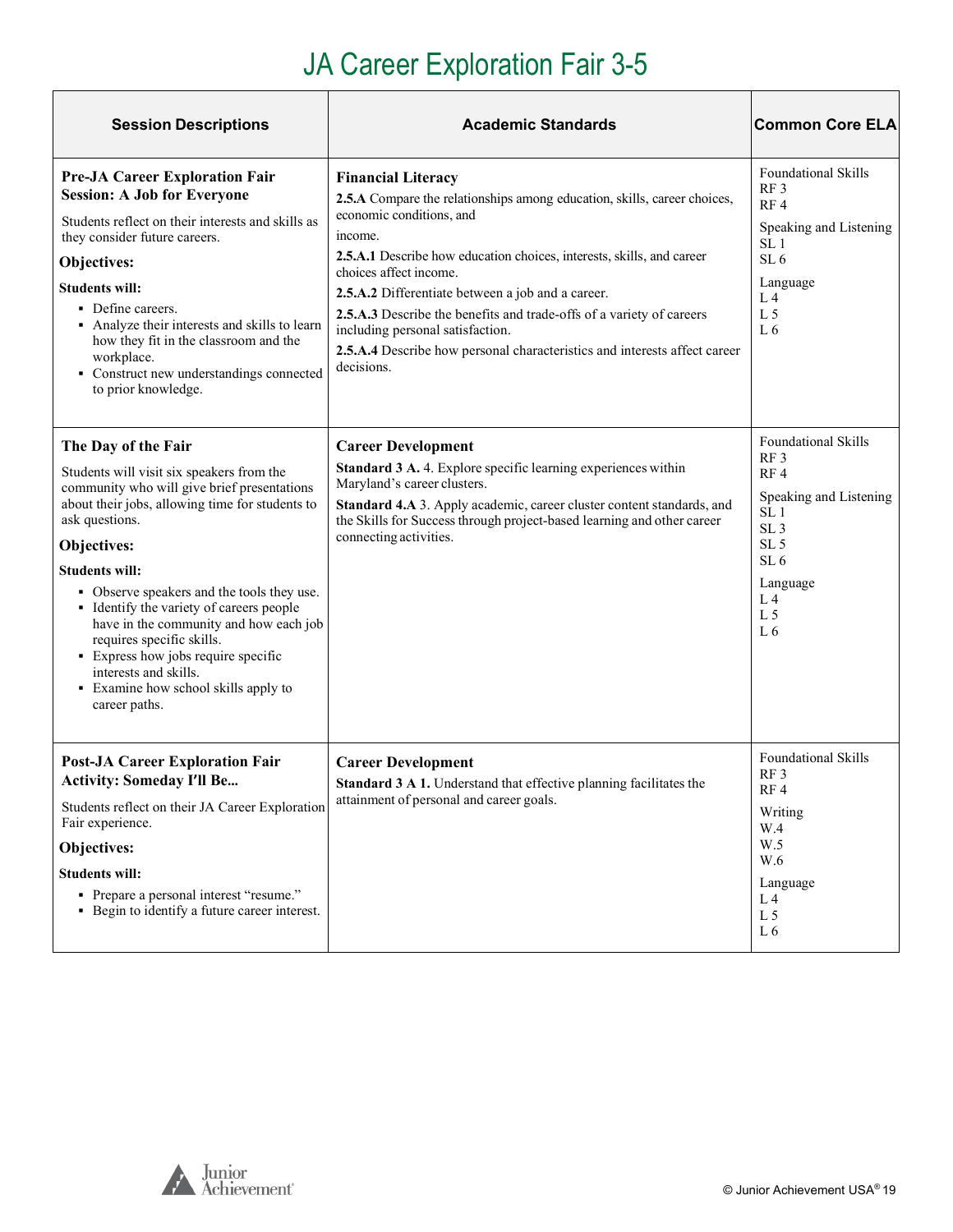# JA Career Exploration Fair 3-5

| <b>Session Descriptions</b>                                                                                                                                                                                                                                                                                                                                                                                                                                                                                            | <b>Academic Standards</b>                                                                                                                                                                                                                                                                                                                                                                                                                                                                                   | <b>Common Core ELA</b>                                                                                                                                                                                                                   |
|------------------------------------------------------------------------------------------------------------------------------------------------------------------------------------------------------------------------------------------------------------------------------------------------------------------------------------------------------------------------------------------------------------------------------------------------------------------------------------------------------------------------|-------------------------------------------------------------------------------------------------------------------------------------------------------------------------------------------------------------------------------------------------------------------------------------------------------------------------------------------------------------------------------------------------------------------------------------------------------------------------------------------------------------|------------------------------------------------------------------------------------------------------------------------------------------------------------------------------------------------------------------------------------------|
| <b>Pre-JA Career Exploration Fair</b><br><b>Session: A Job for Everyone</b><br>Students reflect on their interests and skills as<br>they consider future careers.<br>Objectives:<br><b>Students will:</b><br>• Define careers.<br>• Analyze their interests and skills to learn<br>how they fit in the classroom and the<br>workplace.<br>• Construct new understandings connected<br>to prior knowledge.                                                                                                              | <b>Financial Literacy</b><br>2.5.A Compare the relationships among education, skills, career choices,<br>economic conditions, and<br>income.<br>2.5.A.1 Describe how education choices, interests, skills, and career<br>choices affect income.<br>2.5.A.2 Differentiate between a job and a career.<br>2.5.A.3 Describe the benefits and trade-offs of a variety of careers<br>including personal satisfaction.<br>2.5.A.4 Describe how personal characteristics and interests affect career<br>decisions. | <b>Foundational Skills</b><br>RF3<br>RF <sub>4</sub><br>Speaking and Listening<br>SL 1<br>SL <sub>6</sub><br>Language<br>L <sub>4</sub><br>L <sub>5</sub><br>L 6                                                                         |
| The Day of the Fair<br>Students will visit six speakers from the<br>community who will give brief presentations<br>about their jobs, allowing time for students to<br>ask questions.<br>Objectives:<br><b>Students will:</b><br>• Observe speakers and the tools they use.<br>• Identify the variety of careers people<br>have in the community and how each job<br>requires specific skills.<br>• Express how jobs require specific<br>interests and skills.<br>• Examine how school skills apply to<br>career paths. | <b>Career Development</b><br>Standard 3 A. 4. Explore specific learning experiences within<br>Maryland's career clusters.<br>Standard 4.A 3. Apply academic, career cluster content standards, and<br>the Skills for Success through project-based learning and other career<br>connecting activities.                                                                                                                                                                                                      | <b>Foundational Skills</b><br>RF <sub>3</sub><br>RF <sub>4</sub><br>Speaking and Listening<br>SL <sub>1</sub><br>SL <sub>3</sub><br>SL <sub>5</sub><br>SL <sub>6</sub><br>Language<br>L <sub>4</sub><br>L <sub>5</sub><br>L <sub>6</sub> |
| <b>Post-JA Career Exploration Fair</b><br><b>Activity: Someday I'll Be</b><br>Students reflect on their JA Career Exploration<br>Fair experience.<br>Objectives:<br><b>Students will:</b><br>• Prepare a personal interest "resume."<br>• Begin to identify a future career interest.                                                                                                                                                                                                                                  | <b>Career Development</b><br>Standard 3 A 1. Understand that effective planning facilitates the<br>attainment of personal and career goals.                                                                                                                                                                                                                                                                                                                                                                 | Foundational Skills<br>RF <sub>3</sub><br>RF4<br>Writing<br>W.4<br>W.5<br>W.6<br>Language<br>L <sub>4</sub><br>L <sub>5</sub><br>L6                                                                                                      |



 $\overline{1}$